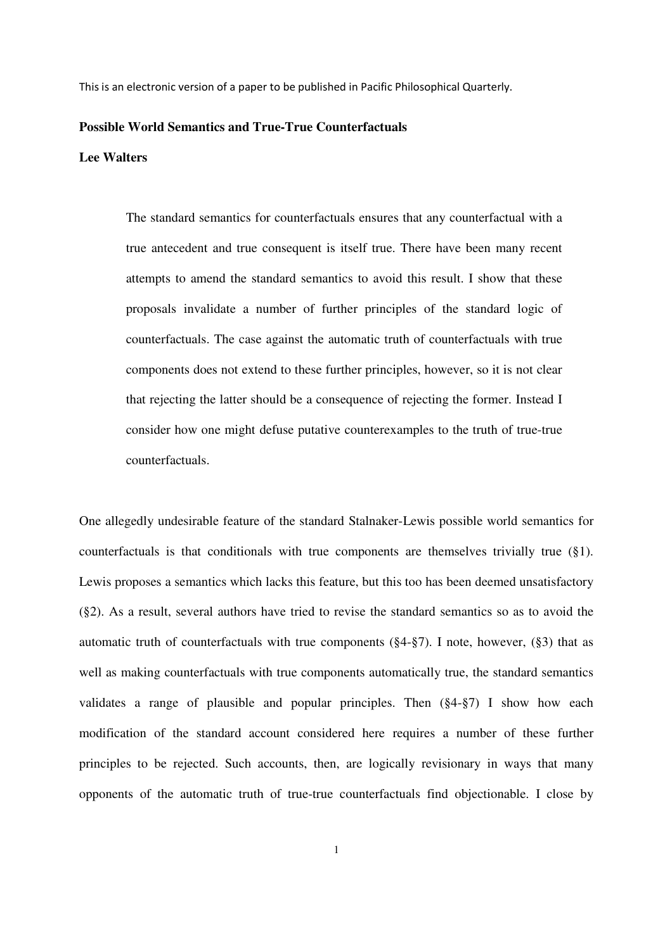This is an electronic version of a paper to be published in Pacific Philosophical Quarterly.

#### **Possible World Semantics and True-True Counterfactuals**

## **Lee Walters**

The standard semantics for counterfactuals ensures that any counterfactual with a true antecedent and true consequent is itself true. There have been many recent attempts to amend the standard semantics to avoid this result. I show that these proposals invalidate a number of further principles of the standard logic of counterfactuals. The case against the automatic truth of counterfactuals with true components does not extend to these further principles, however, so it is not clear that rejecting the latter should be a consequence of rejecting the former. Instead I consider how one might defuse putative counterexamples to the truth of true-true counterfactuals.

One allegedly undesirable feature of the standard Stalnaker-Lewis possible world semantics for counterfactuals is that conditionals with true components are themselves trivially true (§1). Lewis proposes a semantics which lacks this feature, but this too has been deemed unsatisfactory (§2). As a result, several authors have tried to revise the standard semantics so as to avoid the automatic truth of counterfactuals with true components  $(\S4-\S7)$ . I note, however,  $(\S3)$  that as well as making counterfactuals with true components automatically true, the standard semantics validates a range of plausible and popular principles. Then (§4-§7) I show how each modification of the standard account considered here requires a number of these further principles to be rejected. Such accounts, then, are logically revisionary in ways that many opponents of the automatic truth of true-true counterfactuals find objectionable. I close by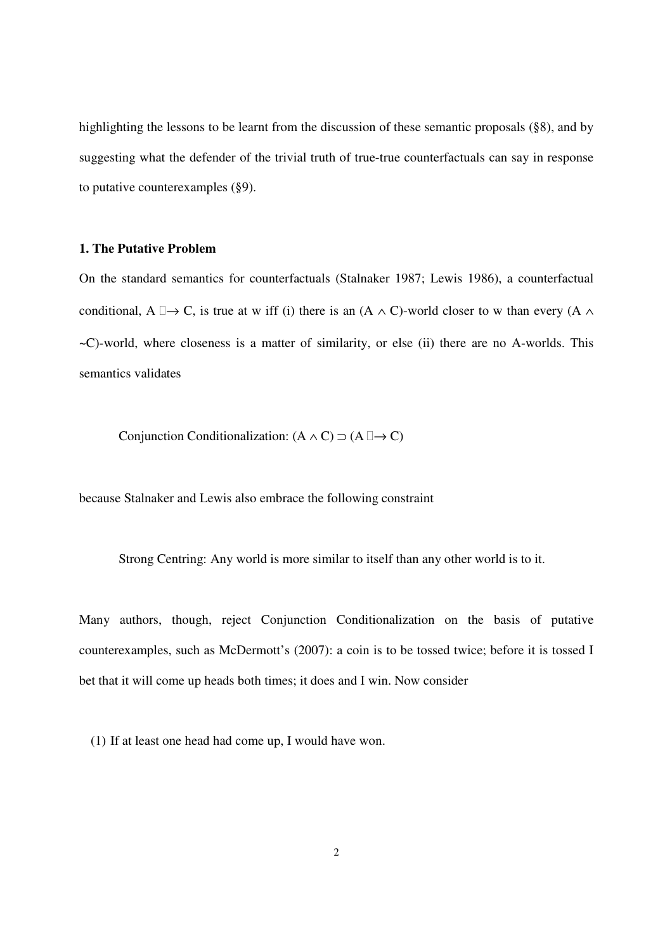highlighting the lessons to be learnt from the discussion of these semantic proposals (§8), and by suggesting what the defender of the trivial truth of true-true counterfactuals can say in response to putative counterexamples (§9).

## **1. The Putative Problem**

On the standard semantics for counterfactuals (Stalnaker 1987; Lewis 1986), a counterfactual conditional, A  $\rightarrow$  C, is true at w iff (i) there is an (A  $\land$  C)-world closer to w than every (A  $\land$ ~C)-world, where closeness is a matter of similarity, or else (ii) there are no A-worlds. This semantics validates

Conjunction Conditionalization:  $(A \land C) \supset (A \rightarrow C)$ 

because Stalnaker and Lewis also embrace the following constraint

Strong Centring: Any world is more similar to itself than any other world is to it.

Many authors, though, reject Conjunction Conditionalization on the basis of putative counterexamples, such as McDermott's (2007): a coin is to be tossed twice; before it is tossed I bet that it will come up heads both times; it does and I win. Now consider

(1) If at least one head had come up, I would have won.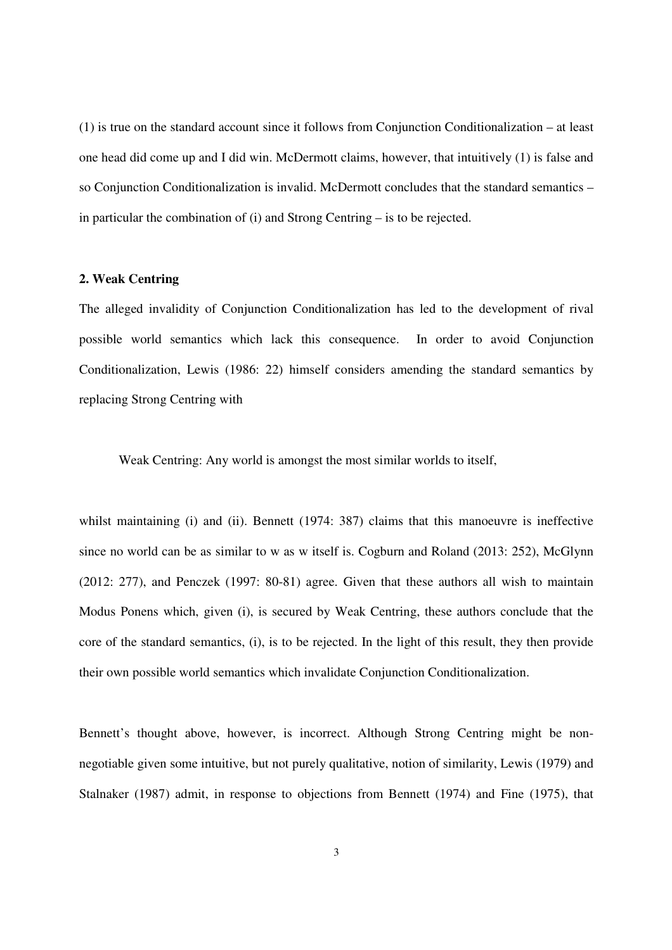(1) is true on the standard account since it follows from Conjunction Conditionalization – at least one head did come up and I did win. McDermott claims, however, that intuitively (1) is false and so Conjunction Conditionalization is invalid. McDermott concludes that the standard semantics – in particular the combination of (i) and Strong Centring – is to be rejected.

## **2. Weak Centring**

The alleged invalidity of Conjunction Conditionalization has led to the development of rival possible world semantics which lack this consequence. In order to avoid Conjunction Conditionalization, Lewis (1986: 22) himself considers amending the standard semantics by replacing Strong Centring with

Weak Centring: Any world is amongst the most similar worlds to itself,

whilst maintaining (i) and (ii). Bennett (1974: 387) claims that this manoeuvre is ineffective since no world can be as similar to w as w itself is. Cogburn and Roland (2013: 252), McGlynn (2012: 277), and Penczek (1997: 80-81) agree. Given that these authors all wish to maintain Modus Ponens which, given (i), is secured by Weak Centring, these authors conclude that the core of the standard semantics, (i), is to be rejected. In the light of this result, they then provide their own possible world semantics which invalidate Conjunction Conditionalization.

Bennett's thought above, however, is incorrect. Although Strong Centring might be nonnegotiable given some intuitive, but not purely qualitative, notion of similarity, Lewis (1979) and Stalnaker (1987) admit, in response to objections from Bennett (1974) and Fine (1975), that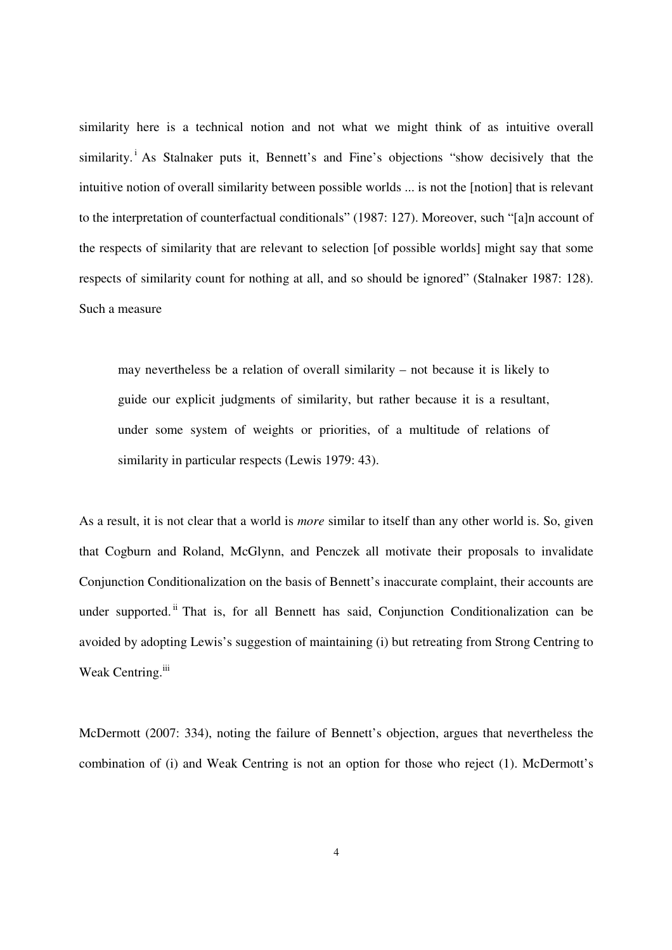similarity here is a technical notion and not what we might think of as intuitive overall similarity.<sup>i</sup> As Stalnaker puts it, Bennett's and Fine's objections "show decisively that the intuitive notion of overall similarity between possible worlds ... is not the [notion] that is relevant to the interpretation of counterfactual conditionals" (1987: 127). Moreover, such "[a]n account of the respects of similarity that are relevant to selection [of possible worlds] might say that some respects of similarity count for nothing at all, and so should be ignored" (Stalnaker 1987: 128). Such a measure

may nevertheless be a relation of overall similarity – not because it is likely to guide our explicit judgments of similarity, but rather because it is a resultant, under some system of weights or priorities, of a multitude of relations of similarity in particular respects (Lewis 1979: 43).

As a result, it is not clear that a world is *more* similar to itself than any other world is. So, given that Cogburn and Roland, McGlynn, and Penczek all motivate their proposals to invalidate Conjunction Conditionalization on the basis of Bennett's inaccurate complaint, their accounts are under supported. <sup>ii</sup> That is, for all Bennett has said, Conjunction Conditionalization can be avoided by adopting Lewis's suggestion of maintaining (i) but retreating from Strong Centring to Weak Centring.<sup>iii</sup>

McDermott (2007: 334), noting the failure of Bennett's objection, argues that nevertheless the combination of (i) and Weak Centring is not an option for those who reject (1). McDermott's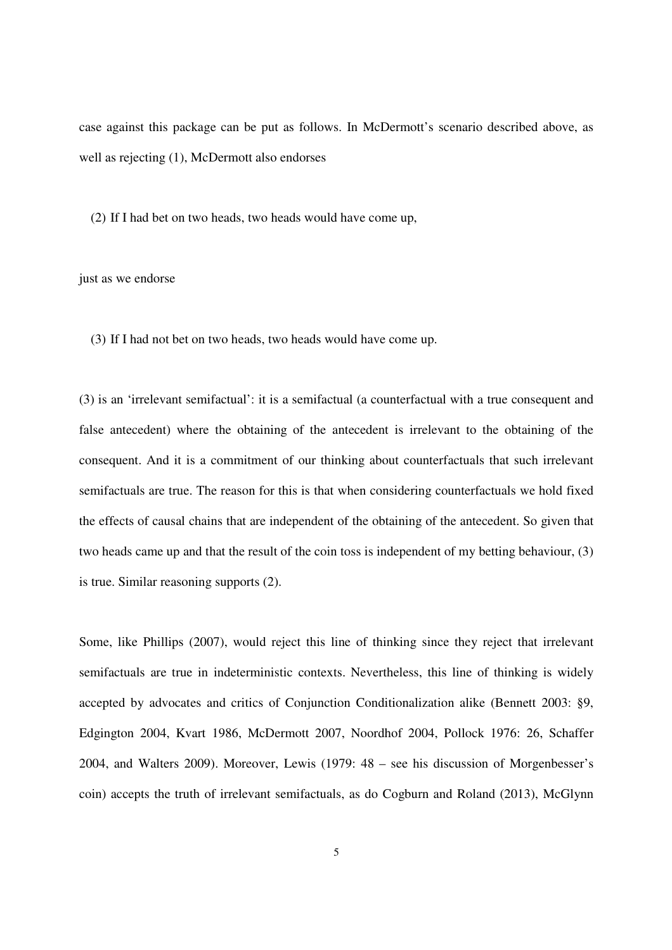case against this package can be put as follows. In McDermott's scenario described above, as well as rejecting (1), McDermott also endorses

(2) If I had bet on two heads, two heads would have come up,

### just as we endorse

(3) If I had not bet on two heads, two heads would have come up.

(3) is an 'irrelevant semifactual': it is a semifactual (a counterfactual with a true consequent and false antecedent) where the obtaining of the antecedent is irrelevant to the obtaining of the consequent. And it is a commitment of our thinking about counterfactuals that such irrelevant semifactuals are true. The reason for this is that when considering counterfactuals we hold fixed the effects of causal chains that are independent of the obtaining of the antecedent. So given that two heads came up and that the result of the coin toss is independent of my betting behaviour, (3) is true. Similar reasoning supports (2).

Some, like Phillips (2007), would reject this line of thinking since they reject that irrelevant semifactuals are true in indeterministic contexts. Nevertheless, this line of thinking is widely accepted by advocates and critics of Conjunction Conditionalization alike (Bennett 2003: §9, Edgington 2004, Kvart 1986, McDermott 2007, Noordhof 2004, Pollock 1976: 26, Schaffer 2004, and Walters 2009). Moreover, Lewis (1979: 48 – see his discussion of Morgenbesser's coin) accepts the truth of irrelevant semifactuals, as do Cogburn and Roland (2013), McGlynn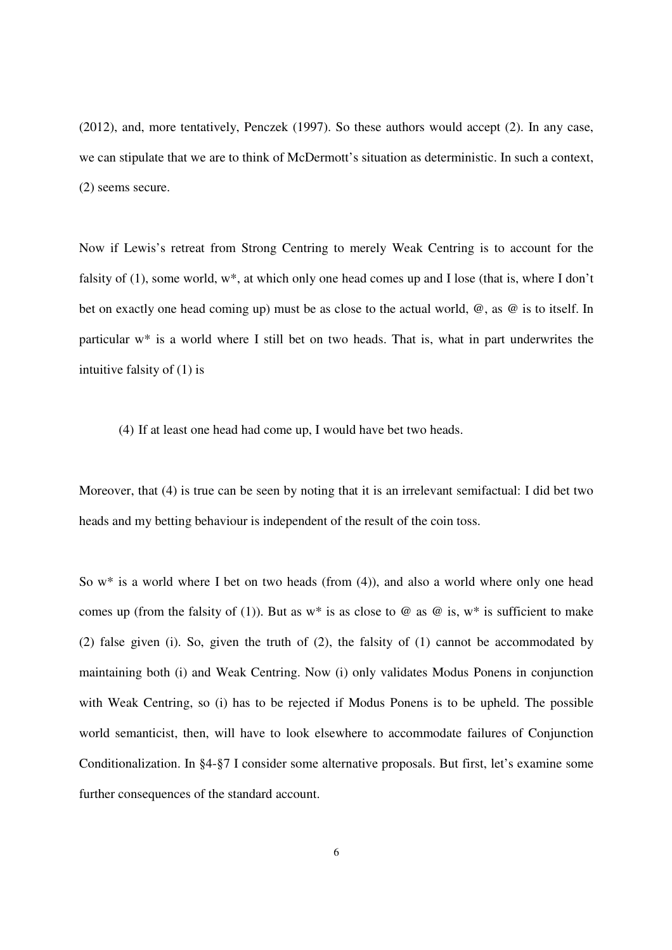(2012), and, more tentatively, Penczek (1997). So these authors would accept (2). In any case, we can stipulate that we are to think of McDermott's situation as deterministic. In such a context, (2) seems secure.

Now if Lewis's retreat from Strong Centring to merely Weak Centring is to account for the falsity of (1), some world, w\*, at which only one head comes up and I lose (that is, where I don't bet on exactly one head coming up) must be as close to the actual world, @, as @ is to itself. In particular w\* is a world where I still bet on two heads. That is, what in part underwrites the intuitive falsity of (1) is

(4) If at least one head had come up, I would have bet two heads.

Moreover, that (4) is true can be seen by noting that it is an irrelevant semifactual: I did bet two heads and my betting behaviour is independent of the result of the coin toss.

So w\* is a world where I bet on two heads (from (4)), and also a world where only one head comes up (from the falsity of (1)). But as  $w^*$  is as close to  $\omega$  as  $\omega$  is,  $w^*$  is sufficient to make (2) false given (i). So, given the truth of (2), the falsity of (1) cannot be accommodated by maintaining both (i) and Weak Centring. Now (i) only validates Modus Ponens in conjunction with Weak Centring, so (i) has to be rejected if Modus Ponens is to be upheld. The possible world semanticist, then, will have to look elsewhere to accommodate failures of Conjunction Conditionalization. In §4-§7 I consider some alternative proposals. But first, let's examine some further consequences of the standard account.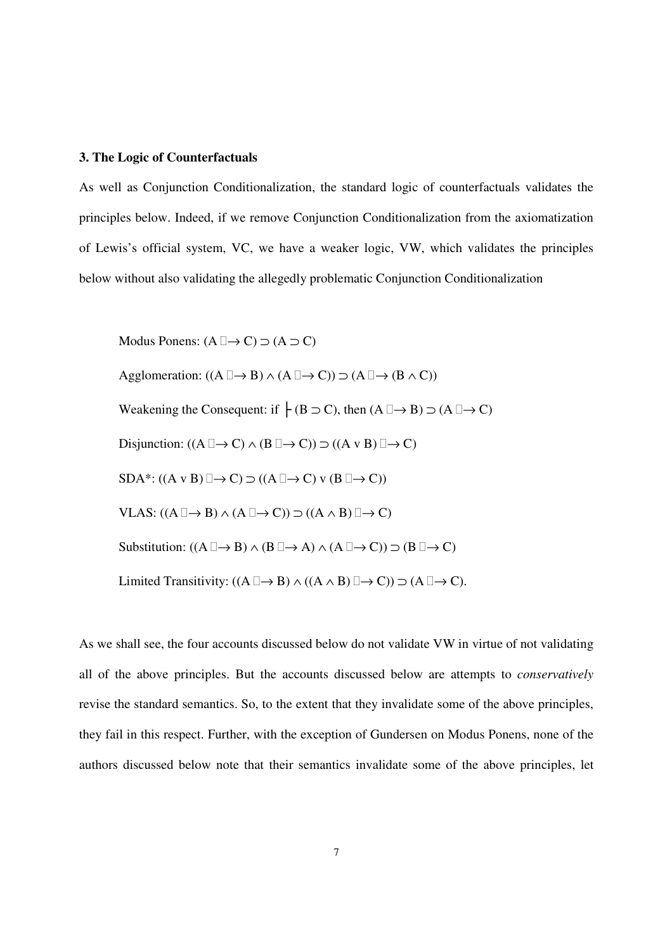#### **3. The Logic of Counterfactuals**

As well as Conjunction Conditionalization, the standard logic of counterfactuals validates the principles below. Indeed, if we remove Conjunction Conditionalization from the axiomatization of Lewis's official system, VC, we have a weaker logic, VW, which validates the principles below without also validating the allegedly problematic Conjunction Conditionalization

Modus Ponens:  $(A \rightarrow C) \supset (A \supset C)$ Agglomeration:  $((A \rightarrow B) \land (A \rightarrow C)) \supset (A \rightarrow (B \land C))$ Weakening the Consequent: if  $\vdash$  (B  $\supset$  C), then  $(A \rightarrow B) \supset (A \rightarrow C)$ Disjunction:  $((A \rightarrow C) \land (B \rightarrow C)) \supset ((A \lor B) \rightarrow C)$  $SDA^*: ((A \vee B) \rightarrow C) \supset ((A \rightarrow C) \vee (B \rightarrow C))$ VLAS:  $((A \rightarrow B) \land (A \rightarrow C)) \supset ((A \land B) \rightarrow C)$ Substitution:  $((A \rightarrow B) \land (B \rightarrow A) \land (A \rightarrow C)) \supset (B \rightarrow C)$ Limited Transitivity:  $((A \rightarrow B) \land ((A \land B) \rightarrow C)) \supset (A \rightarrow C)$ .

As we shall see, the four accounts discussed below do not validate VW in virtue of not validating all of the above principles. But the accounts discussed below are attempts to *conservatively* revise the standard semantics. So, to the extent that they invalidate some of the above principles, they fail in this respect. Further, with the exception of Gundersen on Modus Ponens, none of the authors discussed below note that their semantics invalidate some of the above principles, let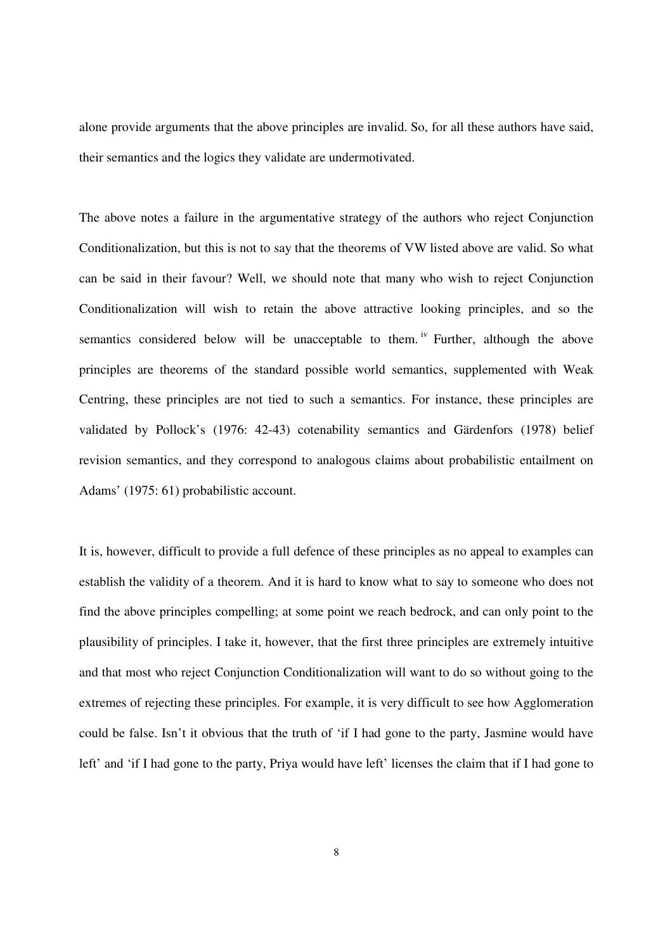alone provide arguments that the above principles are invalid. So, for all these authors have said, their semantics and the logics they validate are undermotivated.

The above notes a failure in the argumentative strategy of the authors who reject Conjunction Conditionalization, but this is not to say that the theorems of VW listed above are valid. So what can be said in their favour? Well, we should note that many who wish to reject Conjunction Conditionalization will wish to retain the above attractive looking principles, and so the semantics considered below will be unacceptable to them.  $\frac{1}{1}$  Further, although the above principles are theorems of the standard possible world semantics, supplemented with Weak Centring, these principles are not tied to such a semantics. For instance, these principles are validated by Pollock's (1976: 42-43) cotenability semantics and Gärdenfors (1978) belief revision semantics, and they correspond to analogous claims about probabilistic entailment on Adams' (1975: 61) probabilistic account.

It is, however, difficult to provide a full defence of these principles as no appeal to examples can establish the validity of a theorem. And it is hard to know what to say to someone who does not find the above principles compelling; at some point we reach bedrock, and can only point to the plausibility of principles. I take it, however, that the first three principles are extremely intuitive and that most who reject Conjunction Conditionalization will want to do so without going to the extremes of rejecting these principles. For example, it is very difficult to see how Agglomeration could be false. Isn't it obvious that the truth of 'if I had gone to the party, Jasmine would have left' and 'if I had gone to the party, Priya would have left' licenses the claim that if I had gone to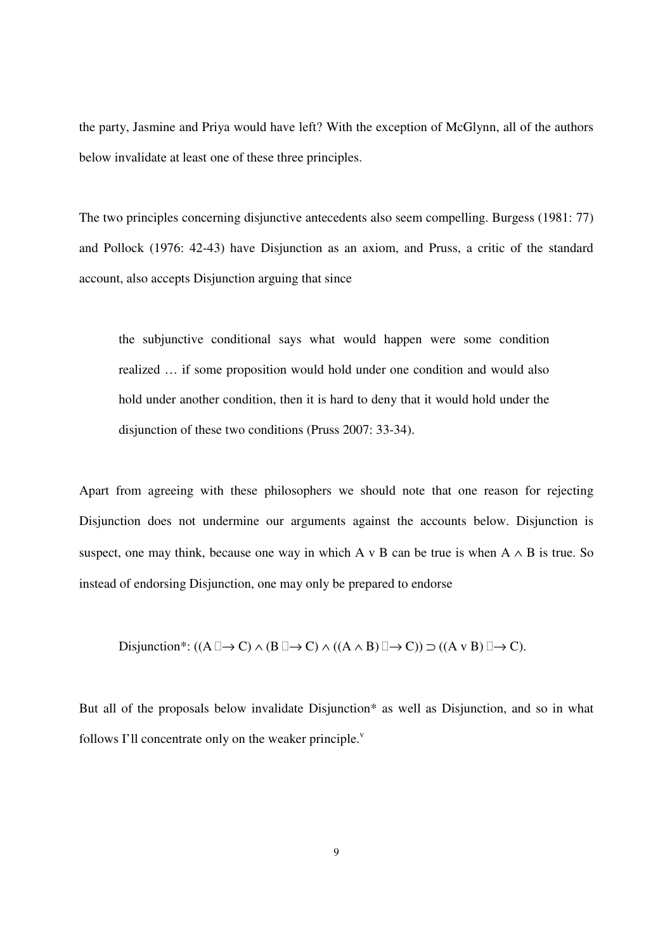the party, Jasmine and Priya would have left? With the exception of McGlynn, all of the authors below invalidate at least one of these three principles.

The two principles concerning disjunctive antecedents also seem compelling. Burgess (1981: 77) and Pollock (1976: 42-43) have Disjunction as an axiom, and Pruss, a critic of the standard account, also accepts Disjunction arguing that since

the subjunctive conditional says what would happen were some condition realized … if some proposition would hold under one condition and would also hold under another condition, then it is hard to deny that it would hold under the disjunction of these two conditions (Pruss 2007: 33-34).

Apart from agreeing with these philosophers we should note that one reason for rejecting Disjunction does not undermine our arguments against the accounts below. Disjunction is suspect, one may think, because one way in which A v B can be true is when  $A \wedge B$  is true. So instead of endorsing Disjunction, one may only be prepared to endorse

Disjunction<sup>\*</sup>: ((A 
$$
\rightarrow
$$
 C)  $\land$  (B  $\rightarrow$  C)  $\land$  ((A  $\land$  B)  $\rightarrow$  C))  $\supset$  ((A v B)  $\rightarrow$  C).

But all of the proposals below invalidate Disjunction\* as well as Disjunction, and so in what follows I'll concentrate only on the weaker principle. $\overline{v}$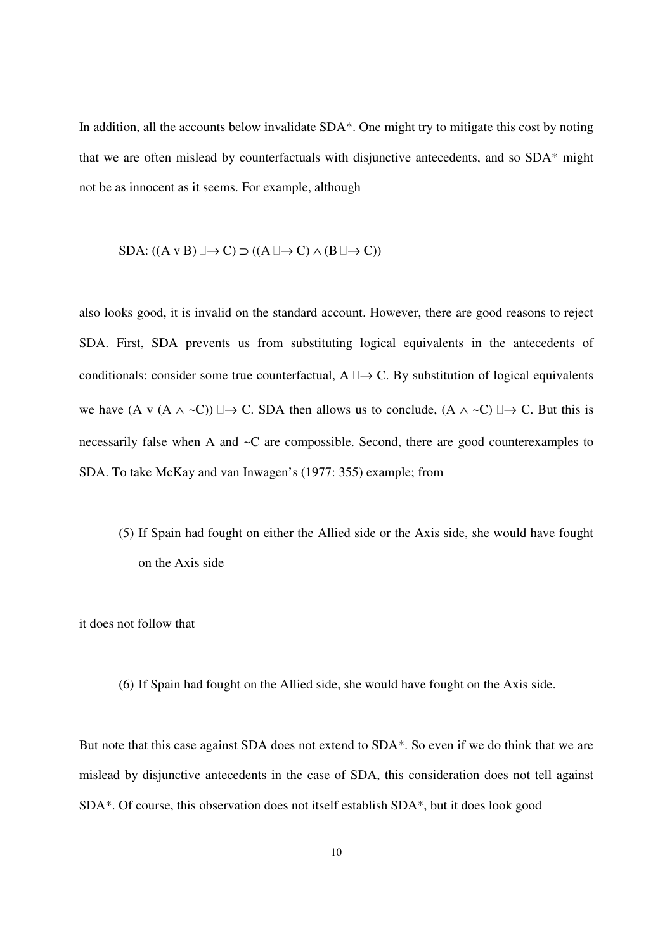In addition, all the accounts below invalidate SDA\*. One might try to mitigate this cost by noting that we are often mislead by counterfactuals with disjunctive antecedents, and so SDA\* might not be as innocent as it seems. For example, although

$$
SDA: ((A \vee B) \rightarrow C) \supset ((A \rightarrow C) \wedge (B \rightarrow C))
$$

also looks good, it is invalid on the standard account. However, there are good reasons to reject SDA. First, SDA prevents us from substituting logical equivalents in the antecedents of conditionals: consider some true counterfactual,  $A \rightarrow C$ . By substitution of logical equivalents we have  $(A \vee (A \wedge \neg C)) \rightarrow C$ . SDA then allows us to conclude,  $(A \wedge \neg C) \rightarrow C$ . But this is necessarily false when A and ~C are compossible. Second, there are good counterexamples to SDA. To take McKay and van Inwagen's (1977: 355) example; from

(5) If Spain had fought on either the Allied side or the Axis side, she would have fought on the Axis side

it does not follow that

(6) If Spain had fought on the Allied side, she would have fought on the Axis side.

But note that this case against SDA does not extend to SDA\*. So even if we do think that we are mislead by disjunctive antecedents in the case of SDA, this consideration does not tell against SDA\*. Of course, this observation does not itself establish SDA\*, but it does look good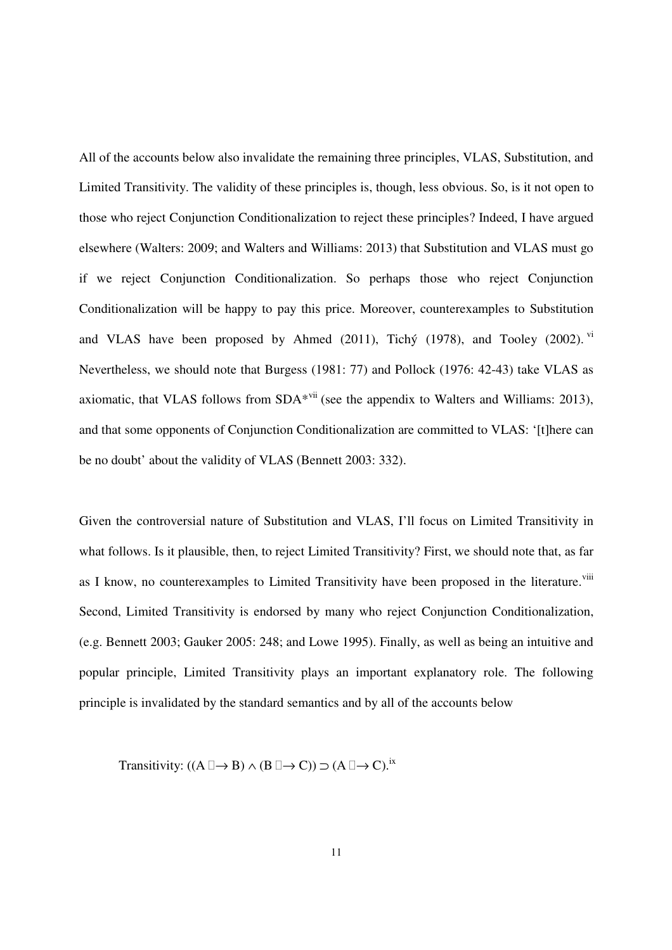All of the accounts below also invalidate the remaining three principles, VLAS, Substitution, and Limited Transitivity. The validity of these principles is, though, less obvious. So, is it not open to those who reject Conjunction Conditionalization to reject these principles? Indeed, I have argued elsewhere (Walters: 2009; and Walters and Williams: 2013) that Substitution and VLAS must go if we reject Conjunction Conditionalization. So perhaps those who reject Conjunction Conditionalization will be happy to pay this price. Moreover, counterexamples to Substitution and VLAS have been proposed by Ahmed  $(2011)$ , Tichý  $(1978)$ , and Tooley  $(2002)$ . <sup>vi</sup> Nevertheless, we should note that Burgess (1981: 77) and Pollock (1976: 42-43) take VLAS as axiomatic, that VLAS follows from  $SDA*<sup>vii</sup>$  (see the appendix to Walters and Williams: 2013), and that some opponents of Conjunction Conditionalization are committed to VLAS: '[t]here can be no doubt' about the validity of VLAS (Bennett 2003: 332).

Given the controversial nature of Substitution and VLAS, I'll focus on Limited Transitivity in what follows. Is it plausible, then, to reject Limited Transitivity? First, we should note that, as far as I know, no counterexamples to Limited Transitivity have been proposed in the literature.<sup>viii</sup> Second, Limited Transitivity is endorsed by many who reject Conjunction Conditionalization, (e.g. Bennett 2003; Gauker 2005: 248; and Lowe 1995). Finally, as well as being an intuitive and popular principle, Limited Transitivity plays an important explanatory role. The following principle is invalidated by the standard semantics and by all of the accounts below

Transitivity:  $((A \rightarrow B) \land (B \rightarrow C)) \supset (A \rightarrow C).$ <sup>ix</sup>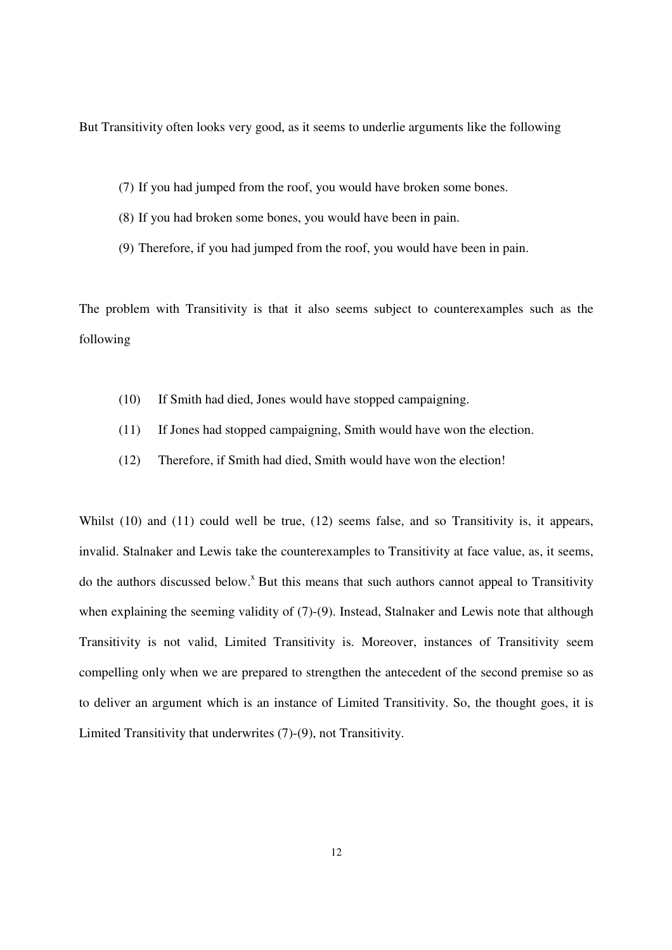But Transitivity often looks very good, as it seems to underlie arguments like the following

- (7) If you had jumped from the roof, you would have broken some bones.
- (8) If you had broken some bones, you would have been in pain.
- (9) Therefore, if you had jumped from the roof, you would have been in pain.

The problem with Transitivity is that it also seems subject to counterexamples such as the following

- (10) If Smith had died, Jones would have stopped campaigning.
- (11) If Jones had stopped campaigning, Smith would have won the election.
- (12) Therefore, if Smith had died, Smith would have won the election!

Whilst (10) and (11) could well be true, (12) seems false, and so Transitivity is, it appears, invalid. Stalnaker and Lewis take the counterexamples to Transitivity at face value, as, it seems, do the authors discussed below.<sup>x</sup> But this means that such authors cannot appeal to Transitivity when explaining the seeming validity of (7)-(9). Instead, Stalnaker and Lewis note that although Transitivity is not valid, Limited Transitivity is. Moreover, instances of Transitivity seem compelling only when we are prepared to strengthen the antecedent of the second premise so as to deliver an argument which is an instance of Limited Transitivity. So, the thought goes, it is Limited Transitivity that underwrites (7)-(9), not Transitivity.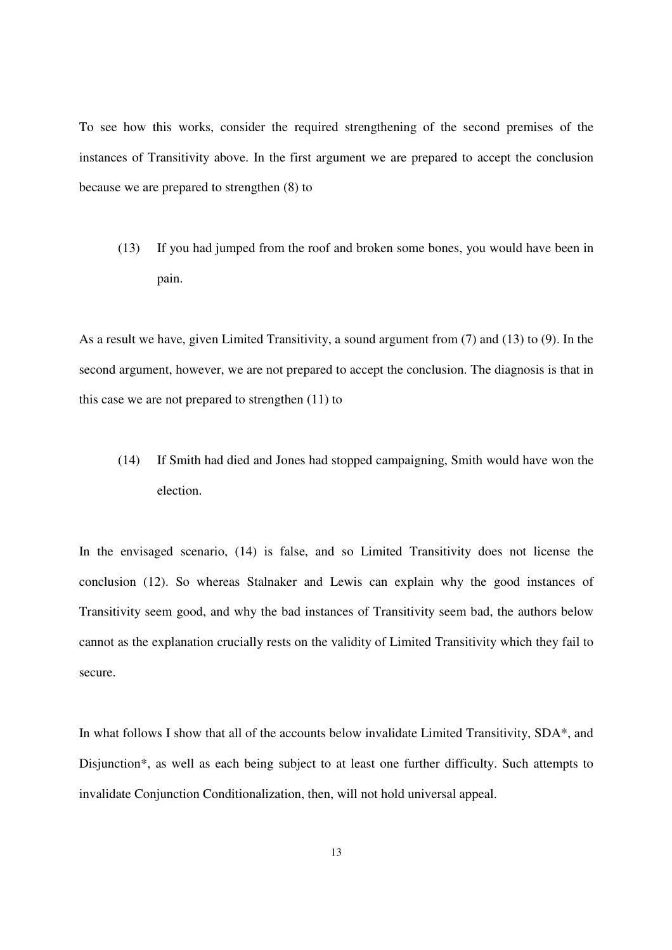To see how this works, consider the required strengthening of the second premises of the instances of Transitivity above. In the first argument we are prepared to accept the conclusion because we are prepared to strengthen (8) to

(13) If you had jumped from the roof and broken some bones, you would have been in pain.

As a result we have, given Limited Transitivity, a sound argument from (7) and (13) to (9). In the second argument, however, we are not prepared to accept the conclusion. The diagnosis is that in this case we are not prepared to strengthen (11) to

(14) If Smith had died and Jones had stopped campaigning, Smith would have won the election.

In the envisaged scenario, (14) is false, and so Limited Transitivity does not license the conclusion (12). So whereas Stalnaker and Lewis can explain why the good instances of Transitivity seem good, and why the bad instances of Transitivity seem bad, the authors below cannot as the explanation crucially rests on the validity of Limited Transitivity which they fail to secure.

In what follows I show that all of the accounts below invalidate Limited Transitivity, SDA\*, and Disjunction\*, as well as each being subject to at least one further difficulty. Such attempts to invalidate Conjunction Conditionalization, then, will not hold universal appeal.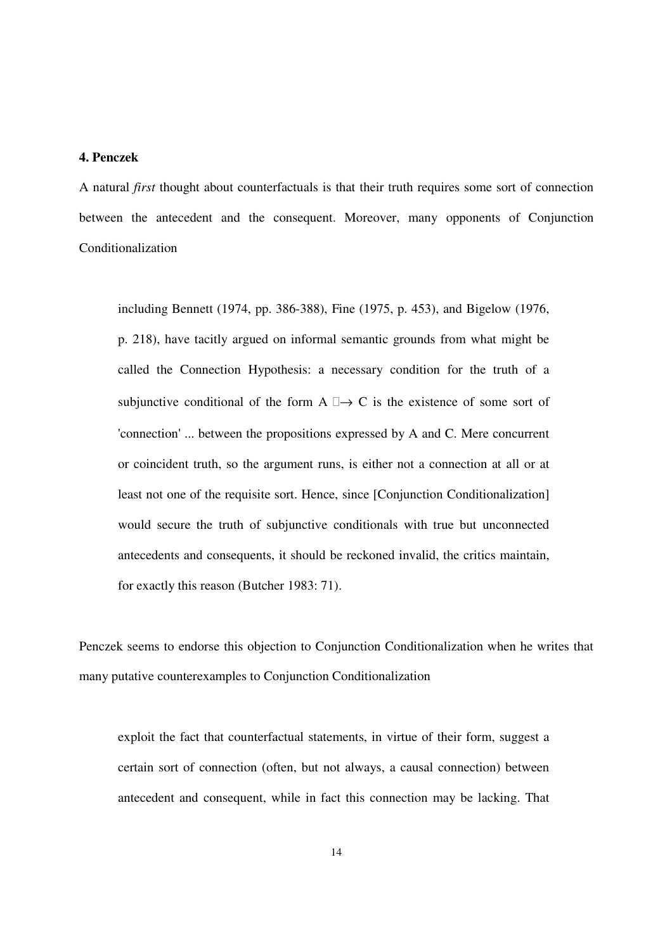## **4. Penczek**

A natural *first* thought about counterfactuals is that their truth requires some sort of connection between the antecedent and the consequent. Moreover, many opponents of Conjunction Conditionalization

including Bennett (1974, pp. 386-388), Fine (1975, p. 453), and Bigelow (1976, p. 218), have tacitly argued on informal semantic grounds from what might be called the Connection Hypothesis: a necessary condition for the truth of a subjunctive conditional of the form  $A \rightarrow C$  is the existence of some sort of 'connection' ... between the propositions expressed by A and C. Mere concurrent or coincident truth, so the argument runs, is either not a connection at all or at least not one of the requisite sort. Hence, since [Conjunction Conditionalization] would secure the truth of subjunctive conditionals with true but unconnected antecedents and consequents, it should be reckoned invalid, the critics maintain, for exactly this reason (Butcher 1983: 71).

Penczek seems to endorse this objection to Conjunction Conditionalization when he writes that many putative counterexamples to Conjunction Conditionalization

exploit the fact that counterfactual statements, in virtue of their form, suggest a certain sort of connection (often, but not always, a causal connection) between antecedent and consequent, while in fact this connection may be lacking. That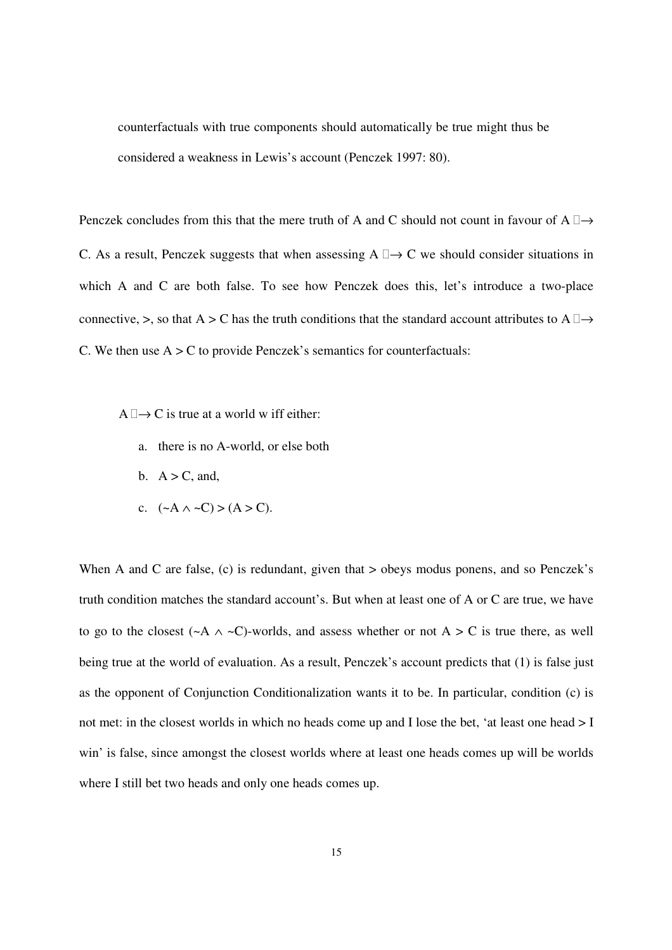counterfactuals with true components should automatically be true might thus be considered a weakness in Lewis's account (Penczek 1997: 80).

Penczek concludes from this that the mere truth of A and C should not count in favour of A  $\rightarrow$ C. As a result, Penczek suggests that when assessing  $A \rightarrow C$  we should consider situations in which A and C are both false. To see how Penczek does this, let's introduce a two-place connective, >, so that A > C has the truth conditions that the standard account attributes to A  $\rightarrow$ C. We then use  $A > C$  to provide Penczek's semantics for counterfactuals:

- A  $\rightarrow$  C is true at a world w iff either:
	- a. there is no A-world, or else both
	- b.  $A > C$ , and,
	- c.  $({\sim}A \wedge {\sim}C) > (A > C)$ .

When A and C are false, (c) is redundant, given that  $>$  obeys modus ponens, and so Penczek's truth condition matches the standard account's. But when at least one of A or C are true, we have to go to the closest ( $\sim$ A  $\land$   $\sim$ C)-worlds, and assess whether or not A  $>$  C is true there, as well being true at the world of evaluation. As a result, Penczek's account predicts that (1) is false just as the opponent of Conjunction Conditionalization wants it to be. In particular, condition (c) is not met: in the closest worlds in which no heads come up and I lose the bet, 'at least one head  $> I$ win' is false, since amongst the closest worlds where at least one heads comes up will be worlds where I still bet two heads and only one heads comes up.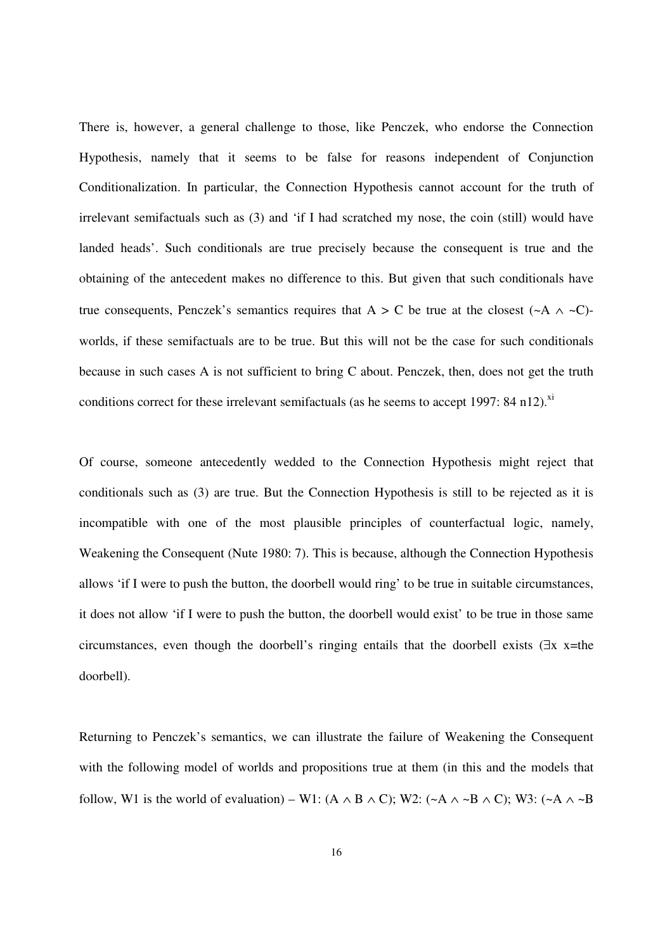There is, however, a general challenge to those, like Penczek, who endorse the Connection Hypothesis, namely that it seems to be false for reasons independent of Conjunction Conditionalization. In particular, the Connection Hypothesis cannot account for the truth of irrelevant semifactuals such as (3) and 'if I had scratched my nose, the coin (still) would have landed heads'. Such conditionals are true precisely because the consequent is true and the obtaining of the antecedent makes no difference to this. But given that such conditionals have true consequents, Penczek's semantics requires that  $A > C$  be true at the closest (~A  $\land$  ~C)worlds, if these semifactuals are to be true. But this will not be the case for such conditionals because in such cases A is not sufficient to bring C about. Penczek, then, does not get the truth conditions correct for these irrelevant semifactuals (as he seems to accept 1997:  $84$  n12).<sup>xi</sup>

Of course, someone antecedently wedded to the Connection Hypothesis might reject that conditionals such as (3) are true. But the Connection Hypothesis is still to be rejected as it is incompatible with one of the most plausible principles of counterfactual logic, namely, Weakening the Consequent (Nute 1980: 7). This is because, although the Connection Hypothesis allows 'if I were to push the button, the doorbell would ring' to be true in suitable circumstances, it does not allow 'if I were to push the button, the doorbell would exist' to be true in those same circumstances, even though the doorbell's ringing entails that the doorbell exists (∃x x=the doorbell).

Returning to Penczek's semantics, we can illustrate the failure of Weakening the Consequent with the following model of worlds and propositions true at them (in this and the models that follow, W1 is the world of evaluation) – W1: (A  $\land$  B  $\land$  C); W2: (~A  $\land$  ~B  $\land$  C); W3: (~A  $\land$  ~B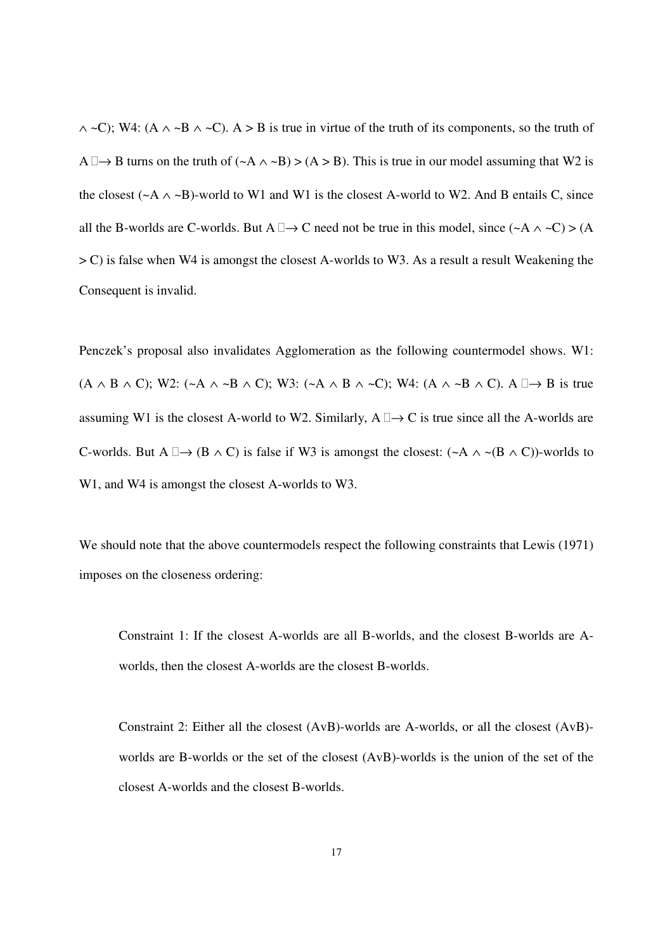∧ ~C); W4: (A ∧ ~B ∧ ~C). A > B is true in virtue of the truth of its components, so the truth of A  $\rightarrow$  B turns on the truth of (~A  $\land$  ~B) > (A > B). This is true in our model assuming that W2 is the closest ( $\sim$ A  $\land$   $\sim$ B)-world to W1 and W1 is the closest A-world to W2. And B entails C, since all the B-worlds are C-worlds. But A  $\rightarrow$  C need not be true in this model, since (~A  $\land$  ~C) > (A  $>$  C) is false when W4 is amongst the closest A-worlds to W3. As a result a result Weakening the Consequent is invalid.

Penczek's proposal also invalidates Agglomeration as the following countermodel shows. W1:  $(A \wedge B \wedge C)$ ; W2:  $(\neg A \wedge \neg B \wedge C)$ ; W3:  $(\neg A \wedge B \wedge \neg C)$ ; W4:  $(A \wedge \neg B \wedge C)$ .  $A \rightarrow B$  is true assuming W1 is the closest A-world to W2. Similarly,  $A \rightarrow C$  is true since all the A-worlds are C-worlds. But A  $\rightarrow$  (B  $\land$  C) is false if W3 is amongst the closest: (~A  $\land$  ~(B  $\land$  C))-worlds to W1, and W4 is amongst the closest A-worlds to W3.

We should note that the above countermodels respect the following constraints that Lewis (1971) imposes on the closeness ordering:

Constraint 1: If the closest A-worlds are all B-worlds, and the closest B-worlds are Aworlds, then the closest A-worlds are the closest B-worlds.

Constraint 2: Either all the closest (AvB)-worlds are A-worlds, or all the closest (AvB) worlds are B-worlds or the set of the closest (AvB)-worlds is the union of the set of the closest A-worlds and the closest B-worlds.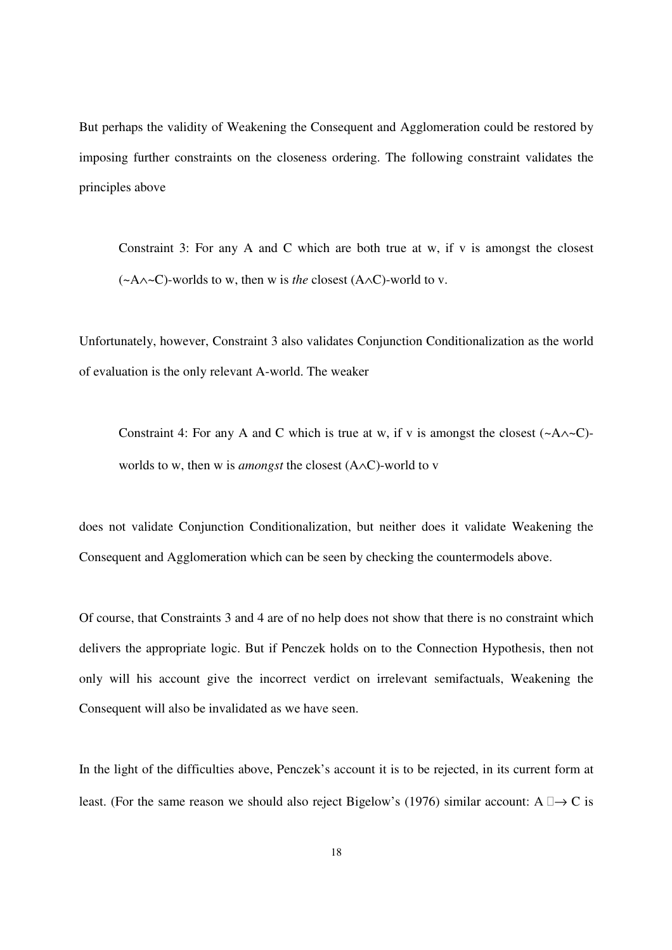But perhaps the validity of Weakening the Consequent and Agglomeration could be restored by imposing further constraints on the closeness ordering. The following constraint validates the principles above

Constraint 3: For any A and C which are both true at w, if v is amongst the closest (~A∧~C)-worlds to w, then w is *the* closest (A∧C)-world to v.

Unfortunately, however, Constraint 3 also validates Conjunction Conditionalization as the world of evaluation is the only relevant A-world. The weaker

Constraint 4: For any A and C which is true at w, if v is amongst the closest  $(\sim A \land \sim C)$ worlds to w, then w is *amongst* the closest (A∧C)-world to v

does not validate Conjunction Conditionalization, but neither does it validate Weakening the Consequent and Agglomeration which can be seen by checking the countermodels above.

Of course, that Constraints 3 and 4 are of no help does not show that there is no constraint which delivers the appropriate logic. But if Penczek holds on to the Connection Hypothesis, then not only will his account give the incorrect verdict on irrelevant semifactuals, Weakening the Consequent will also be invalidated as we have seen.

In the light of the difficulties above, Penczek's account it is to be rejected, in its current form at least. (For the same reason we should also reject Bigelow's (1976) similar account: A  $\rightarrow$  C is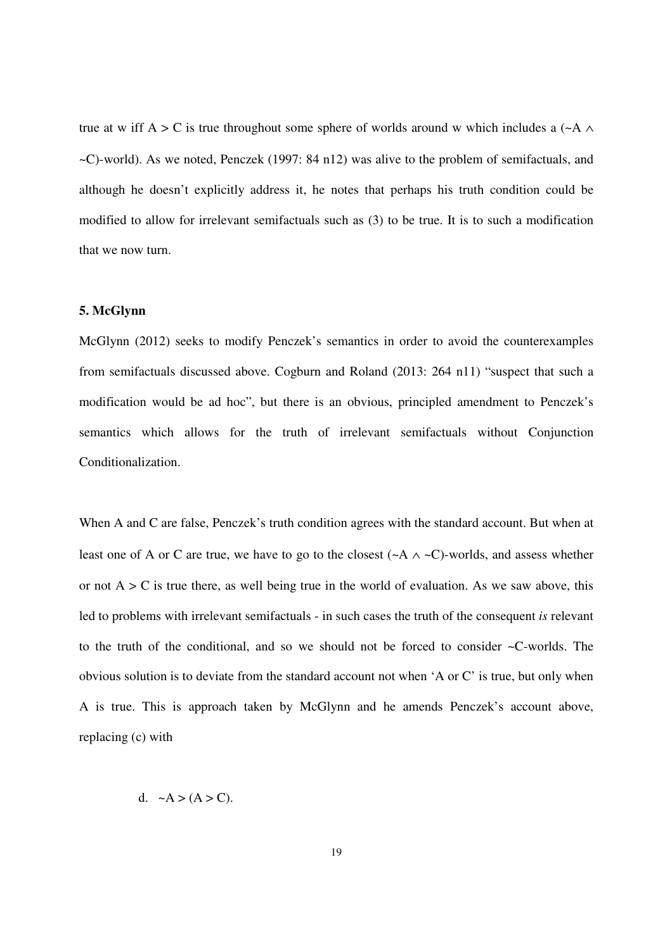true at w iff A > C is true throughout some sphere of worlds around w which includes a  $(\sim A \land$ ~C)-world). As we noted, Penczek (1997: 84 n12) was alive to the problem of semifactuals, and although he doesn't explicitly address it, he notes that perhaps his truth condition could be modified to allow for irrelevant semifactuals such as (3) to be true. It is to such a modification that we now turn.

#### **5. McGlynn**

McGlynn (2012) seeks to modify Penczek's semantics in order to avoid the counterexamples from semifactuals discussed above. Cogburn and Roland (2013: 264 n11) "suspect that such a modification would be ad hoc", but there is an obvious, principled amendment to Penczek's semantics which allows for the truth of irrelevant semifactuals without Conjunction Conditionalization.

When A and C are false, Penczek's truth condition agrees with the standard account. But when at least one of A or C are true, we have to go to the closest ( $\sim$ A  $\land \sim$ C)-worlds, and assess whether or not  $A > C$  is true there, as well being true in the world of evaluation. As we saw above, this led to problems with irrelevant semifactuals - in such cases the truth of the consequent *is* relevant to the truth of the conditional, and so we should not be forced to consider ~C-worlds. The obvious solution is to deviate from the standard account not when 'A or C' is true, but only when A is true. This is approach taken by McGlynn and he amends Penczek's account above, replacing (c) with

d.  $\sim A > (A > C)$ .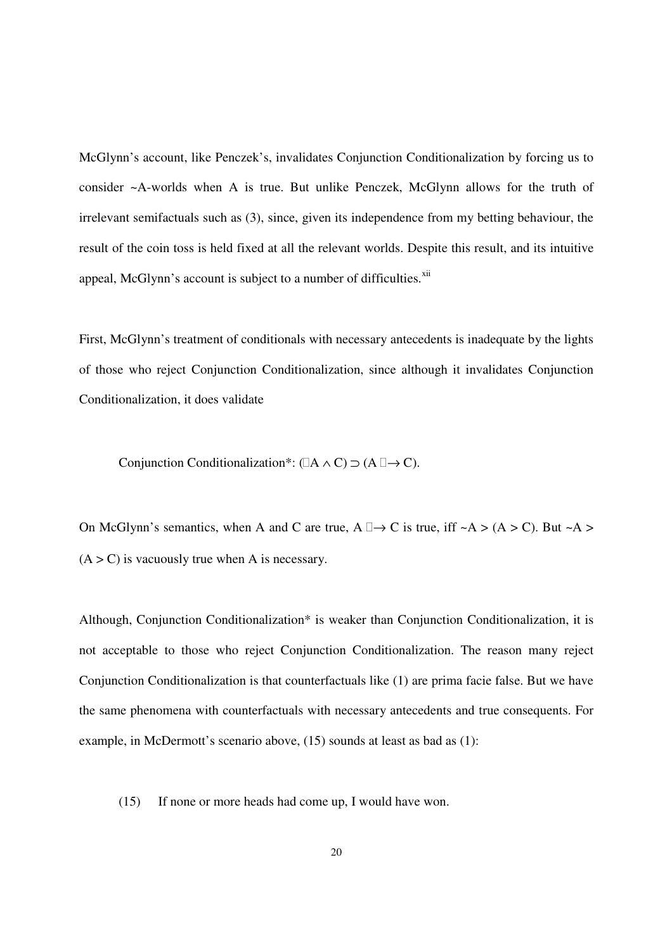McGlynn's account, like Penczek's, invalidates Conjunction Conditionalization by forcing us to consider ~A-worlds when A is true. But unlike Penczek, McGlynn allows for the truth of irrelevant semifactuals such as (3), since, given its independence from my betting behaviour, the result of the coin toss is held fixed at all the relevant worlds. Despite this result, and its intuitive appeal, McGlynn's account is subject to a number of difficulties.<sup>xii</sup>

First, McGlynn's treatment of conditionals with necessary antecedents is inadequate by the lights of those who reject Conjunction Conditionalization, since although it invalidates Conjunction Conditionalization, it does validate

Conjunction Conditionalization\*: ( $A \wedge C$ )  $\supset (A \rightarrow C)$ .

On McGlynn's semantics, when A and C are true,  $A \rightarrow C$  is true, iff  $~\sim A > (A > C)$ . But  $~\sim A >$  $(A > C)$  is vacuously true when A is necessary.

Although, Conjunction Conditionalization\* is weaker than Conjunction Conditionalization, it is not acceptable to those who reject Conjunction Conditionalization. The reason many reject Conjunction Conditionalization is that counterfactuals like (1) are prima facie false. But we have the same phenomena with counterfactuals with necessary antecedents and true consequents. For example, in McDermott's scenario above, (15) sounds at least as bad as (1):

(15) If none or more heads had come up, I would have won.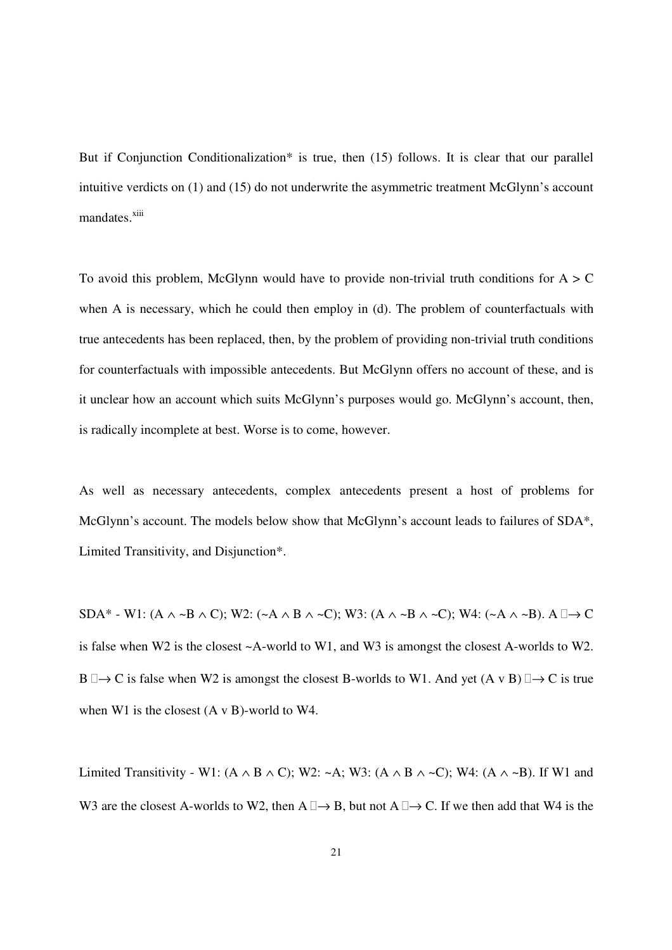But if Conjunction Conditionalization\* is true, then (15) follows. It is clear that our parallel intuitive verdicts on (1) and (15) do not underwrite the asymmetric treatment McGlynn's account mandates.<sup>xiii</sup>

To avoid this problem, McGlynn would have to provide non-trivial truth conditions for  $A > C$ when A is necessary, which he could then employ in (d). The problem of counterfactuals with true antecedents has been replaced, then, by the problem of providing non-trivial truth conditions for counterfactuals with impossible antecedents. But McGlynn offers no account of these, and is it unclear how an account which suits McGlynn's purposes would go. McGlynn's account, then, is radically incomplete at best. Worse is to come, however.

As well as necessary antecedents, complex antecedents present a host of problems for McGlynn's account. The models below show that McGlynn's account leads to failures of SDA\*, Limited Transitivity, and Disjunction\*.

SDA<sup>\*</sup> - W1: (A  $\land$  ~B  $\land$  C); W2: (~A  $\land$  B  $\land$  ~C); W3: (A  $\land$  ~B  $\land$  ~C); W4: (~A  $\land$  ~B). A  $\rightarrow$  C is false when W2 is the closest ~A-world to W1, and W3 is amongst the closest A-worlds to W2. B  $\rightarrow$  C is false when W2 is amongst the closest B-worlds to W1. And yet (A v B)  $\rightarrow$  C is true when W1 is the closest (A v B)-world to W4.

Limited Transitivity - W1: (A ∧ B ∧ C); W2: ~A; W3: (A ∧ B ∧ ~C); W4: (A ∧ ~B). If W1 and W3 are the closest A-worlds to W2, then  $A \rightarrow B$ , but not  $A \rightarrow C$ . If we then add that W4 is the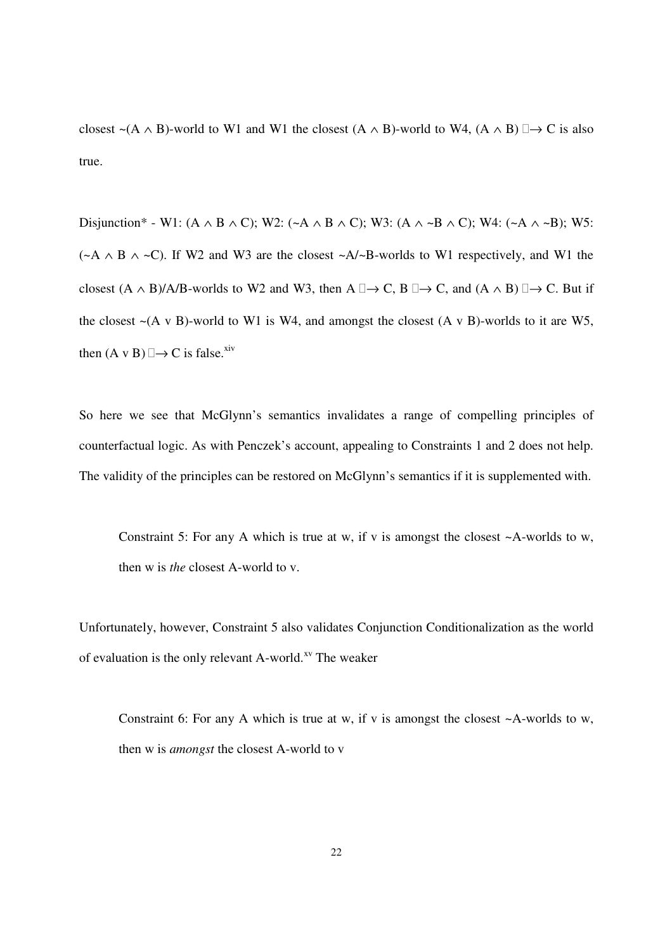closest ~(A  $\land$  B)-world to W1 and W1 the closest (A  $\land$  B)-world to W4, (A  $\land$  B)  $\rightarrow$  C is also true.

Disjunction\* - W1: (A  $\land$  B  $\land$  C); W2: (~A  $\land$  B  $\land$  C); W3: (A  $\land$  ~B  $\land$  C); W4: (~A  $\land$  ~B); W5: ( $\sim$ A  $\land$  B  $\land$   $\sim$ C). If W2 and W3 are the closest  $\sim$ A/ $\sim$ B-worlds to W1 respectively, and W1 the closest  $(A \wedge B)/A/B$ -worlds to W2 and W3, then  $A \rightarrow C$ ,  $B \rightarrow C$ , and  $(A \wedge B) \rightarrow C$ . But if the closest  $\sim$ (A v B)-world to W1 is W4, and amongst the closest (A v B)-worlds to it are W5, then  $(A \vee B) \rightarrow C$  is false.<sup>xiv</sup>

So here we see that McGlynn's semantics invalidates a range of compelling principles of counterfactual logic. As with Penczek's account, appealing to Constraints 1 and 2 does not help. The validity of the principles can be restored on McGlynn's semantics if it is supplemented with.

Constraint 5: For any A which is true at w, if v is amongst the closest  $\sim$ A-worlds to w, then w is *the* closest A-world to v.

Unfortunately, however, Constraint 5 also validates Conjunction Conditionalization as the world of evaluation is the only relevant A-world.<sup>xv</sup> The weaker

Constraint 6: For any A which is true at w, if v is amongst the closest  $\sim$ A-worlds to w, then w is *amongst* the closest A-world to v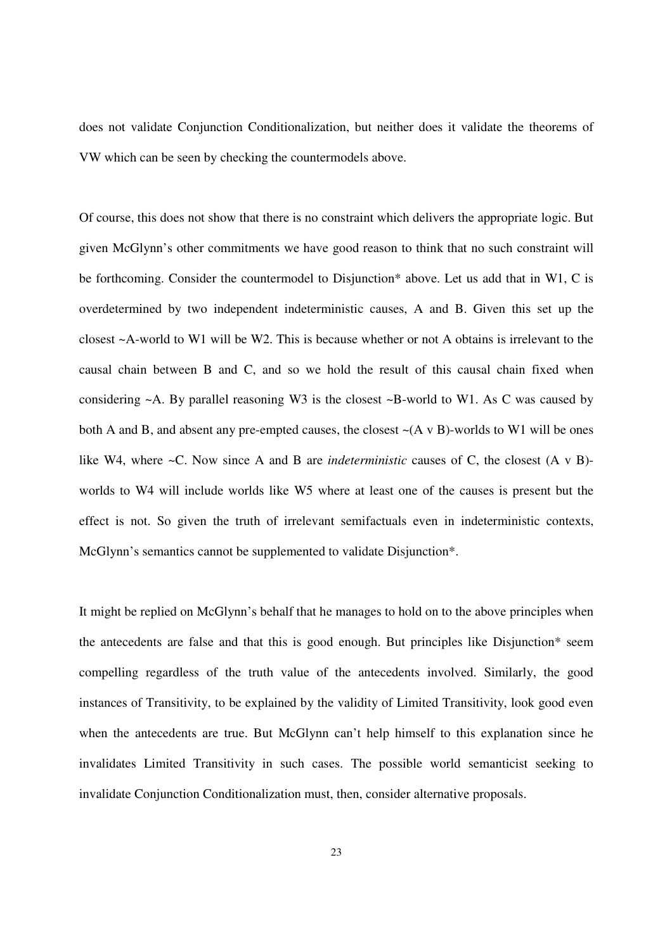does not validate Conjunction Conditionalization, but neither does it validate the theorems of VW which can be seen by checking the countermodels above.

Of course, this does not show that there is no constraint which delivers the appropriate logic. But given McGlynn's other commitments we have good reason to think that no such constraint will be forthcoming. Consider the countermodel to Disjunction\* above. Let us add that in W1, C is overdetermined by two independent indeterministic causes, A and B. Given this set up the closest ~A-world to W1 will be W2. This is because whether or not A obtains is irrelevant to the causal chain between B and C, and so we hold the result of this causal chain fixed when considering ~A. By parallel reasoning W3 is the closest ~B-world to W1. As C was caused by both A and B, and absent any pre-empted causes, the closest  $-(A \vee B)$ -worlds to W1 will be ones like W4, where ~C. Now since A and B are *indeterministic* causes of C, the closest (A v B) worlds to W4 will include worlds like W5 where at least one of the causes is present but the effect is not. So given the truth of irrelevant semifactuals even in indeterministic contexts, McGlynn's semantics cannot be supplemented to validate Disjunction\*.

It might be replied on McGlynn's behalf that he manages to hold on to the above principles when the antecedents are false and that this is good enough. But principles like Disjunction\* seem compelling regardless of the truth value of the antecedents involved. Similarly, the good instances of Transitivity, to be explained by the validity of Limited Transitivity, look good even when the antecedents are true. But McGlynn can't help himself to this explanation since he invalidates Limited Transitivity in such cases. The possible world semanticist seeking to invalidate Conjunction Conditionalization must, then, consider alternative proposals.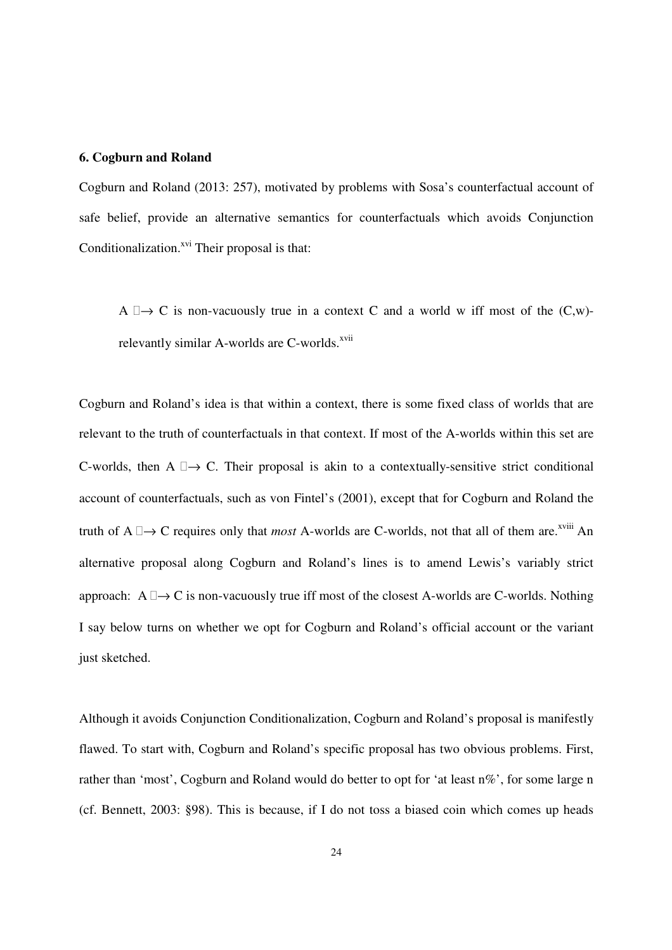#### **6. Cogburn and Roland**

Cogburn and Roland (2013: 257), motivated by problems with Sosa's counterfactual account of safe belief, provide an alternative semantics for counterfactuals which avoids Conjunction Conditionalization.<sup>xvi</sup> Their proposal is that:

A  $\rightarrow$  C is non-vacuously true in a context C and a world w iff most of the (C,w)relevantly similar A-worlds are C-worlds.<sup>xvii</sup>

Cogburn and Roland's idea is that within a context, there is some fixed class of worlds that are relevant to the truth of counterfactuals in that context. If most of the A-worlds within this set are C-worlds, then  $A \rightarrow C$ . Their proposal is akin to a contextually-sensitive strict conditional account of counterfactuals, such as von Fintel's (2001), except that for Cogburn and Roland the truth of  $A \rightarrow C$  requires only that *most* A-worlds are C-worlds, not that all of them are.<sup>xviii</sup> An alternative proposal along Cogburn and Roland's lines is to amend Lewis's variably strict approach:  $A \rightarrow C$  is non-vacuously true iff most of the closest A-worlds are C-worlds. Nothing I say below turns on whether we opt for Cogburn and Roland's official account or the variant just sketched.

Although it avoids Conjunction Conditionalization, Cogburn and Roland's proposal is manifestly flawed. To start with, Cogburn and Roland's specific proposal has two obvious problems. First, rather than 'most', Cogburn and Roland would do better to opt for 'at least n%', for some large n (cf. Bennett, 2003: §98). This is because, if I do not toss a biased coin which comes up heads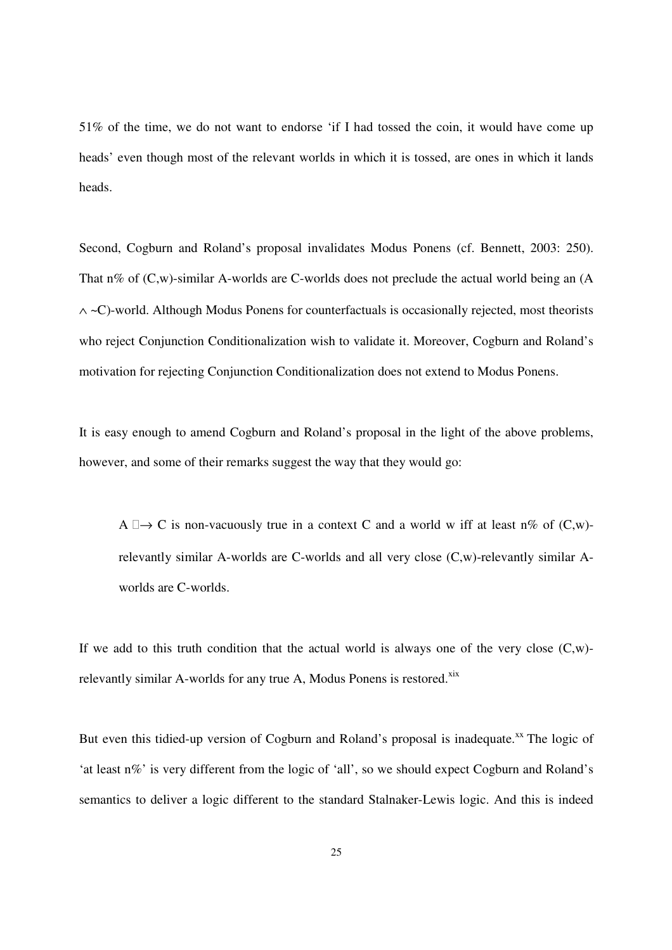51% of the time, we do not want to endorse 'if I had tossed the coin, it would have come up heads' even though most of the relevant worlds in which it is tossed, are ones in which it lands heads.

Second, Cogburn and Roland's proposal invalidates Modus Ponens (cf. Bennett, 2003: 250). That n% of  $(C,w)$ -similar A-worlds are C-worlds does not preclude the actual world being an (A ∧ ~C)-world. Although Modus Ponens for counterfactuals is occasionally rejected, most theorists who reject Conjunction Conditionalization wish to validate it. Moreover, Cogburn and Roland's motivation for rejecting Conjunction Conditionalization does not extend to Modus Ponens.

It is easy enough to amend Cogburn and Roland's proposal in the light of the above problems, however, and some of their remarks suggest the way that they would go:

A  $\rightarrow$  C is non-vacuously true in a context C and a world w iff at least n% of (C,w)relevantly similar A-worlds are C-worlds and all very close (C,w)-relevantly similar Aworlds are C-worlds.

If we add to this truth condition that the actual world is always one of the very close  $(C,w)$ relevantly similar A-worlds for any true A, Modus Ponens is restored.<sup>xix</sup>

But even this tidied-up version of Cogburn and Roland's proposal is inadequate.<sup>xx</sup> The logic of 'at least n%' is very different from the logic of 'all', so we should expect Cogburn and Roland's semantics to deliver a logic different to the standard Stalnaker-Lewis logic. And this is indeed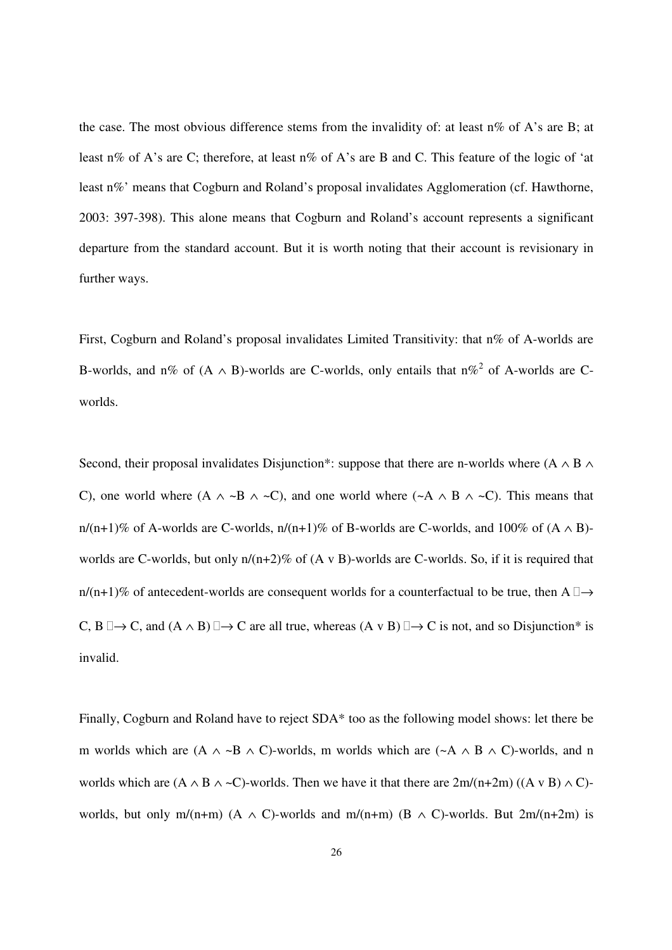the case. The most obvious difference stems from the invalidity of: at least  $n\%$  of A's are B; at least n% of A's are C; therefore, at least n% of A's are B and C. This feature of the logic of 'at least n%' means that Cogburn and Roland's proposal invalidates Agglomeration (cf. Hawthorne, 2003: 397-398). This alone means that Cogburn and Roland's account represents a significant departure from the standard account. But it is worth noting that their account is revisionary in further ways.

First, Cogburn and Roland's proposal invalidates Limited Transitivity: that n% of A-worlds are B-worlds, and n% of  $(A \wedge B)$ -worlds are C-worlds, only entails that n%<sup>2</sup> of A-worlds are Cworlds.

Second, their proposal invalidates Disjunction\*: suppose that there are n-worlds where  $(A \wedge B \wedge B)$ C), one world where  $(A \land \neg B \land \neg C)$ , and one world where  $(\neg A \land B \land \neg C)$ . This means that n/(n+1)% of A-worlds are C-worlds, n/(n+1)% of B-worlds are C-worlds, and 100% of  $(A \wedge B)$ worlds are C-worlds, but only  $n/(n+2)\%$  of  $(A \vee B)$ -worlds are C-worlds. So, if it is required that n/(n+1)% of antecedent-worlds are consequent worlds for a counterfactual to be true, then A  $\rightarrow$ C, B  $\rightarrow$  C, and  $(A \wedge B) \rightarrow C$  are all true, whereas  $(A \vee B) \rightarrow C$  is not, and so Disjunction\* is invalid.

Finally, Cogburn and Roland have to reject SDA\* too as the following model shows: let there be m worlds which are  $(A \land \neg B \land C)$ -worlds, m worlds which are  $(\neg A \land B \land C)$ -worlds, and n worlds which are  $(A \wedge B \wedge \neg C)$ -worlds. Then we have it that there are  $2m/(n+2m)$   $((A \vee B) \wedge C)$ worlds, but only m/(n+m) (A  $\land$  C)-worlds and m/(n+m) (B  $\land$  C)-worlds. But 2m/(n+2m) is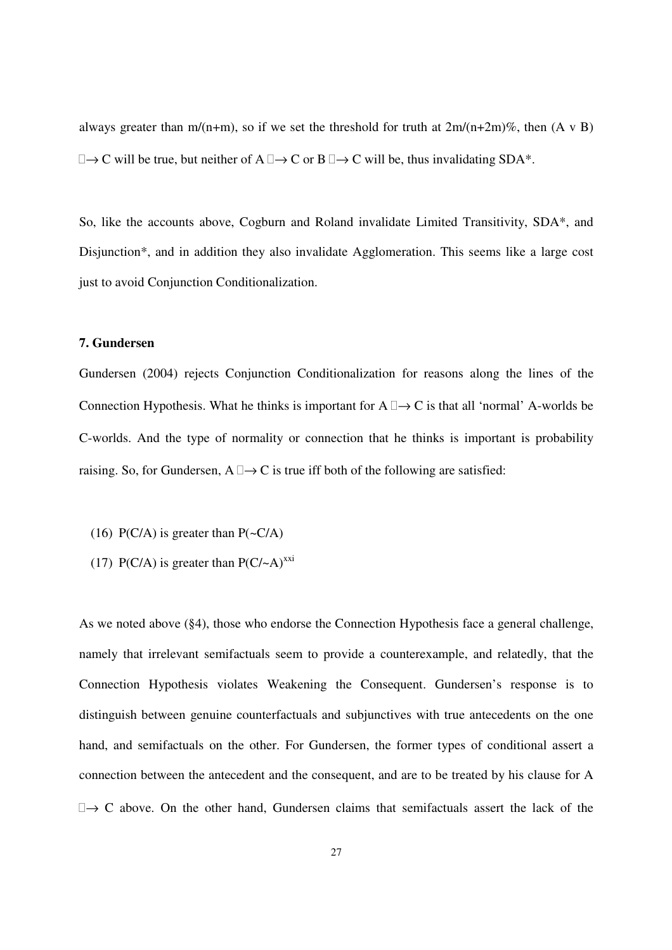always greater than m/(n+m), so if we set the threshold for truth at  $2m/(n+2m)\%$ , then  $(A \vee B)$  $\rightarrow$  C will be true, but neither of A  $\rightarrow$  C or B  $\rightarrow$  C will be, thus invalidating SDA\*.

So, like the accounts above, Cogburn and Roland invalidate Limited Transitivity, SDA\*, and Disjunction\*, and in addition they also invalidate Agglomeration. This seems like a large cost just to avoid Conjunction Conditionalization.

## **7. Gundersen**

Gundersen (2004) rejects Conjunction Conditionalization for reasons along the lines of the Connection Hypothesis. What he thinks is important for  $A \rightarrow C$  is that all 'normal' A-worlds be C-worlds. And the type of normality or connection that he thinks is important is probability raising. So, for Gundersen,  $A \rightarrow C$  is true iff both of the following are satisfied:

- (16) P(C/A) is greater than  $P(\sim C/A)$
- (17) P(C/A) is greater than  $P(C/-A)^{xxi}$

As we noted above (§4), those who endorse the Connection Hypothesis face a general challenge, namely that irrelevant semifactuals seem to provide a counterexample, and relatedly, that the Connection Hypothesis violates Weakening the Consequent. Gundersen's response is to distinguish between genuine counterfactuals and subjunctives with true antecedents on the one hand, and semifactuals on the other. For Gundersen, the former types of conditional assert a connection between the antecedent and the consequent, and are to be treated by his clause for A  $\rightarrow$  C above. On the other hand, Gundersen claims that semifactuals assert the lack of the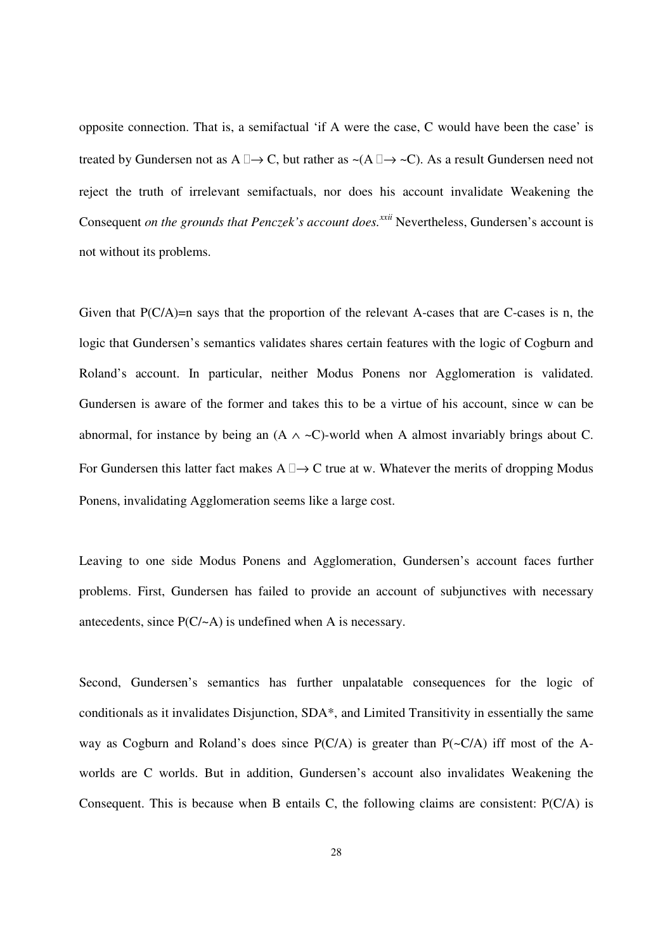opposite connection. That is, a semifactual 'if A were the case, C would have been the case' is treated by Gundersen not as A  $\rightarrow$  C, but rather as ~(A  $\rightarrow$  ~C). As a result Gundersen need not reject the truth of irrelevant semifactuals, nor does his account invalidate Weakening the Consequent *on the grounds that Penczek's account does.xxii* Nevertheless, Gundersen's account is not without its problems.

Given that  $P(C/A)=n$  says that the proportion of the relevant A-cases that are C-cases is n, the logic that Gundersen's semantics validates shares certain features with the logic of Cogburn and Roland's account. In particular, neither Modus Ponens nor Agglomeration is validated. Gundersen is aware of the former and takes this to be a virtue of his account, since w can be abnormal, for instance by being an  $(A \wedge \neg C)$ -world when A almost invariably brings about C. For Gundersen this latter fact makes  $A \rightarrow C$  true at w. Whatever the merits of dropping Modus Ponens, invalidating Agglomeration seems like a large cost.

Leaving to one side Modus Ponens and Agglomeration, Gundersen's account faces further problems. First, Gundersen has failed to provide an account of subjunctives with necessary antecedents, since P(C/~A) is undefined when A is necessary.

Second, Gundersen's semantics has further unpalatable consequences for the logic of conditionals as it invalidates Disjunction, SDA\*, and Limited Transitivity in essentially the same way as Cogburn and Roland's does since  $P(C/A)$  is greater than  $P(\sim C/A)$  iff most of the Aworlds are C worlds. But in addition, Gundersen's account also invalidates Weakening the Consequent. This is because when B entails C, the following claims are consistent: P(C/A) is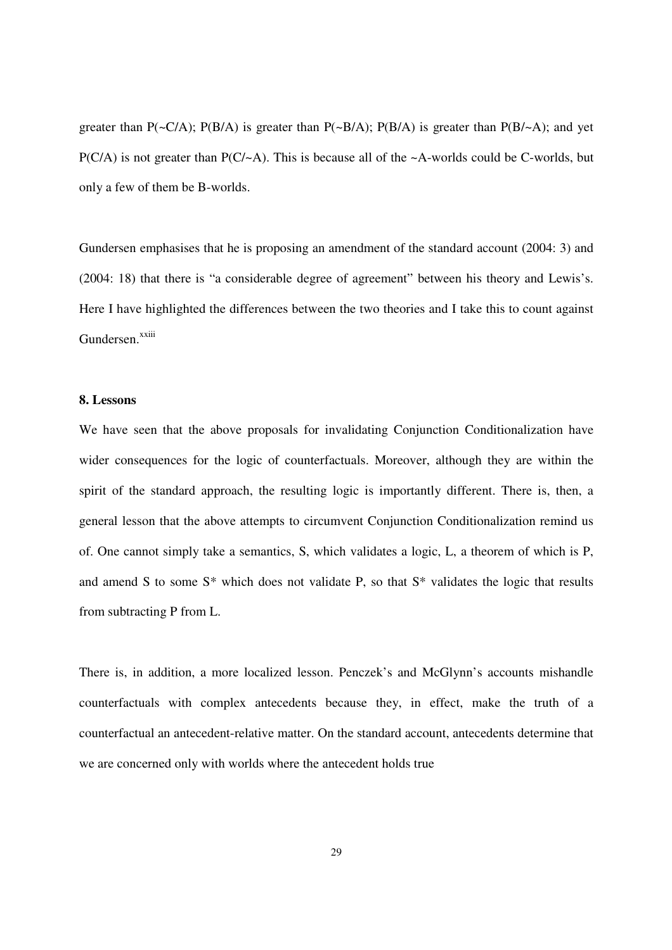greater than  $P(\sim C/A)$ ;  $P(B/A)$  is greater than  $P(\sim B/A)$ ;  $P(B/A)$  is greater than  $P(B/\sim A)$ ; and yet  $P(C/A)$  is not greater than  $P(C/\sim A)$ . This is because all of the  $\sim A$ -worlds could be C-worlds, but only a few of them be B-worlds.

Gundersen emphasises that he is proposing an amendment of the standard account (2004: 3) and (2004: 18) that there is "a considerable degree of agreement" between his theory and Lewis's. Here I have highlighted the differences between the two theories and I take this to count against Gundersen.<sup>xxiii</sup>

#### **8. Lessons**

We have seen that the above proposals for invalidating Conjunction Conditionalization have wider consequences for the logic of counterfactuals. Moreover, although they are within the spirit of the standard approach, the resulting logic is importantly different. There is, then, a general lesson that the above attempts to circumvent Conjunction Conditionalization remind us of. One cannot simply take a semantics, S, which validates a logic, L, a theorem of which is P, and amend S to some S\* which does not validate P, so that S\* validates the logic that results from subtracting P from L.

There is, in addition, a more localized lesson. Penczek's and McGlynn's accounts mishandle counterfactuals with complex antecedents because they, in effect, make the truth of a counterfactual an antecedent-relative matter. On the standard account, antecedents determine that we are concerned only with worlds where the antecedent holds true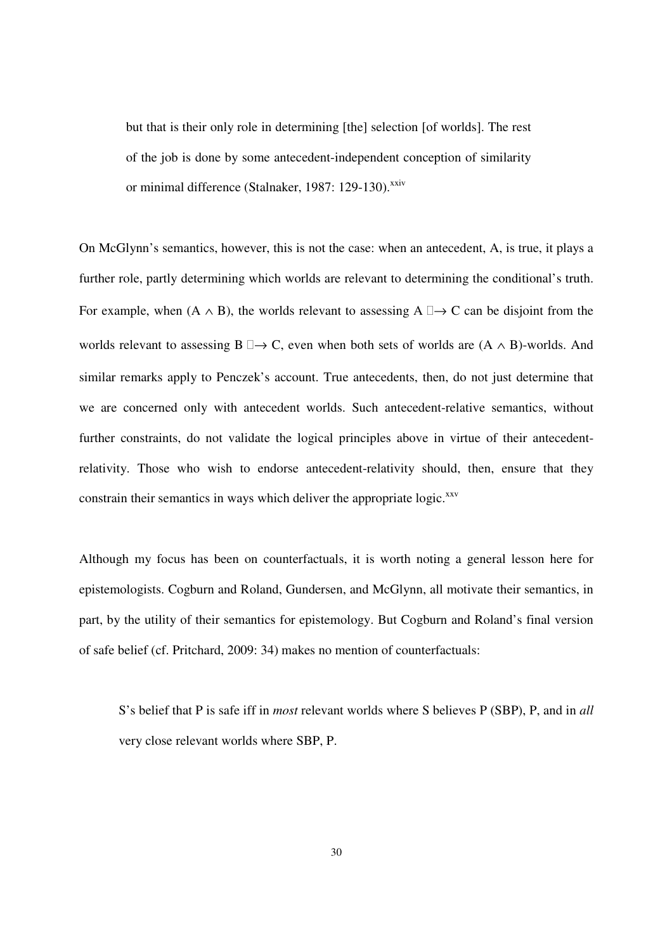but that is their only role in determining [the] selection [of worlds]. The rest of the job is done by some antecedent-independent conception of similarity or minimal difference (Stalnaker, 1987: 129-130).<sup>xxiv</sup>

On McGlynn's semantics, however, this is not the case: when an antecedent, A, is true, it plays a further role, partly determining which worlds are relevant to determining the conditional's truth. For example, when  $(A \wedge B)$ , the worlds relevant to assessing  $A \rightarrow C$  can be disjoint from the worlds relevant to assessing B  $\rightarrow$  C, even when both sets of worlds are (A  $\land$  B)-worlds. And similar remarks apply to Penczek's account. True antecedents, then, do not just determine that we are concerned only with antecedent worlds. Such antecedent-relative semantics, without further constraints, do not validate the logical principles above in virtue of their antecedentrelativity. Those who wish to endorse antecedent-relativity should, then, ensure that they constrain their semantics in ways which deliver the appropriate logic.<sup>xxv</sup>

Although my focus has been on counterfactuals, it is worth noting a general lesson here for epistemologists. Cogburn and Roland, Gundersen, and McGlynn, all motivate their semantics, in part, by the utility of their semantics for epistemology. But Cogburn and Roland's final version of safe belief (cf. Pritchard, 2009: 34) makes no mention of counterfactuals:

S's belief that P is safe iff in *most* relevant worlds where S believes P (SBP), P, and in *all* very close relevant worlds where SBP, P.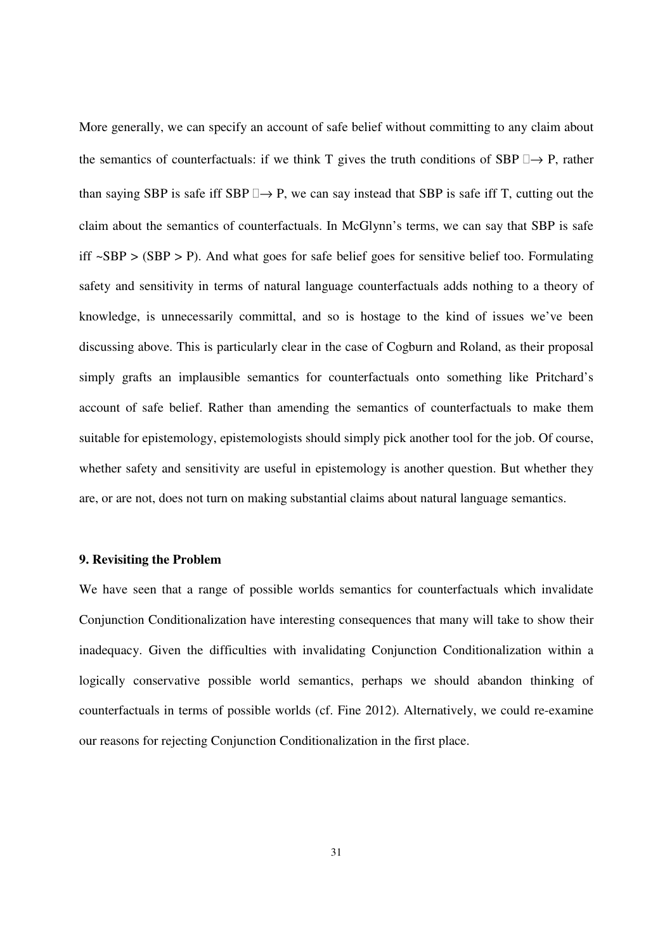More generally, we can specify an account of safe belief without committing to any claim about the semantics of counterfactuals: if we think T gives the truth conditions of SBP  $\rightarrow$  P, rather than saying SBP is safe iff SBP  $\rightarrow$  P, we can say instead that SBP is safe iff T, cutting out the claim about the semantics of counterfactuals. In McGlynn's terms, we can say that SBP is safe iff  $\sim$ SBP  $>$  (SBP  $>$  P). And what goes for safe belief goes for sensitive belief too. Formulating safety and sensitivity in terms of natural language counterfactuals adds nothing to a theory of knowledge, is unnecessarily committal, and so is hostage to the kind of issues we've been discussing above. This is particularly clear in the case of Cogburn and Roland, as their proposal simply grafts an implausible semantics for counterfactuals onto something like Pritchard's account of safe belief. Rather than amending the semantics of counterfactuals to make them suitable for epistemology, epistemologists should simply pick another tool for the job. Of course, whether safety and sensitivity are useful in epistemology is another question. But whether they are, or are not, does not turn on making substantial claims about natural language semantics.

#### **9. Revisiting the Problem**

We have seen that a range of possible worlds semantics for counterfactuals which invalidate Conjunction Conditionalization have interesting consequences that many will take to show their inadequacy. Given the difficulties with invalidating Conjunction Conditionalization within a logically conservative possible world semantics, perhaps we should abandon thinking of counterfactuals in terms of possible worlds (cf. Fine 2012). Alternatively, we could re-examine our reasons for rejecting Conjunction Conditionalization in the first place.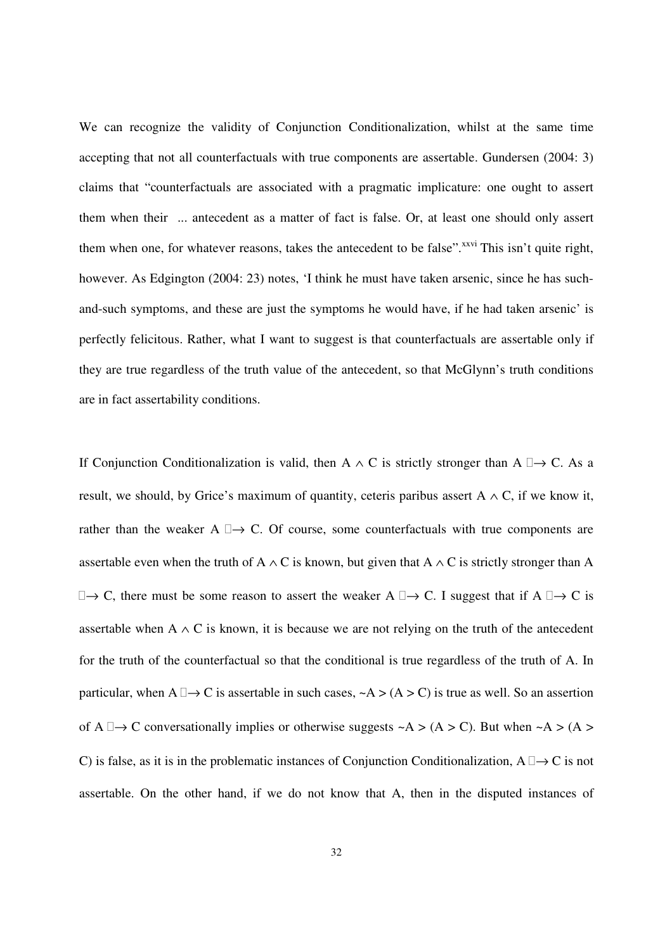We can recognize the validity of Conjunction Conditionalization, whilst at the same time accepting that not all counterfactuals with true components are assertable. Gundersen (2004: 3) claims that "counterfactuals are associated with a pragmatic implicature: one ought to assert them when their ... antecedent as a matter of fact is false. Or, at least one should only assert them when one, for whatever reasons, takes the antecedent to be false".<sup>xxvi</sup> This isn't quite right, however. As Edgington (2004: 23) notes, 'I think he must have taken arsenic, since he has suchand-such symptoms, and these are just the symptoms he would have, if he had taken arsenic' is perfectly felicitous. Rather, what I want to suggest is that counterfactuals are assertable only if they are true regardless of the truth value of the antecedent, so that McGlynn's truth conditions are in fact assertability conditions.

If Conjunction Conditionalization is valid, then A  $\land$  C is strictly stronger than A  $\rightarrow$  C. As a result, we should, by Grice's maximum of quantity, ceteris paribus assert A  $\land$  C, if we know it, rather than the weaker A  $\rightarrow$  C. Of course, some counterfactuals with true components are assertable even when the truth of A  $\land$  C is known, but given that A  $\land$  C is strictly stronger than A  $\rightarrow$  C, there must be some reason to assert the weaker A  $\rightarrow$  C. I suggest that if A  $\rightarrow$  C is assertable when A  $\land$  C is known, it is because we are not relying on the truth of the antecedent for the truth of the counterfactual so that the conditional is true regardless of the truth of A. In particular, when A  $\rightarrow$  C is assertable in such cases,  $\sim$ A > (A > C) is true as well. So an assertion of A  $\rightarrow$  C conversationally implies or otherwise suggests ~A > (A > C). But when ~A > (A > C) is false, as it is in the problematic instances of Conjunction Conditionalization, A  $\rightarrow$  C is not assertable. On the other hand, if we do not know that A, then in the disputed instances of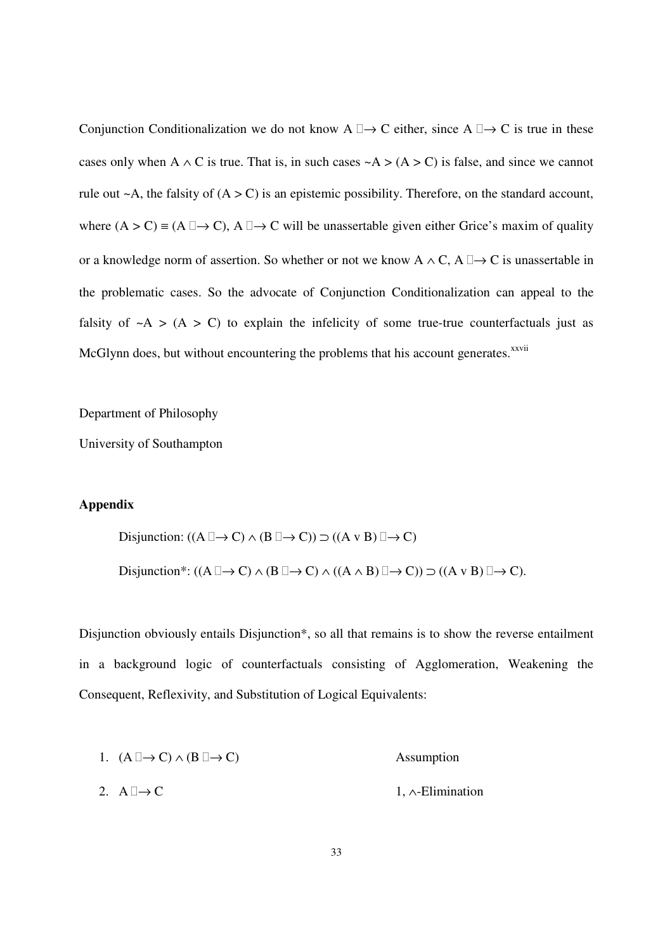Conjunction Conditionalization we do not know  $A \rightarrow C$  either, since  $A \rightarrow C$  is true in these cases only when A  $\land$  C is true. That is, in such cases  $\sim$ A > (A > C) is false, and since we cannot rule out  $\sim$  A, the falsity of  $(A > C)$  is an epistemic possibility. Therefore, on the standard account, where  $(A > C) \equiv (A \rightarrow C)$ ,  $A \rightarrow C$  will be unassertable given either Grice's maxim of quality or a knowledge norm of assertion. So whether or not we know  $A \wedge C$ ,  $A \rightarrow C$  is unassertable in the problematic cases. So the advocate of Conjunction Conditionalization can appeal to the falsity of  $\sim$ A > (A > C) to explain the infelicity of some true-true counterfactuals just as McGlynn does, but without encountering the problems that his account generates.<sup>xxvii</sup>

Department of Philosophy

University of Southampton

## **Appendix**

Disjunction:  $((A \rightarrow C) \land (B \rightarrow C)) \supset ((A \lor B) \rightarrow C)$ Disjunction\*:  $((A \rightarrow C) \land (B \rightarrow C) \land ((A \land B) \rightarrow C)) \supset ((A \lor B) \rightarrow C).$ 

Disjunction obviously entails Disjunction\*, so all that remains is to show the reverse entailment in a background logic of counterfactuals consisting of Agglomeration, Weakening the Consequent, Reflexivity, and Substitution of Logical Equivalents:

1. 
$$
(A \rightarrow C) \land (B \rightarrow C)
$$
  
\n2.  $A \rightarrow C$   
\n3. A  $\rightarrow C$   
\n4. A-Elimination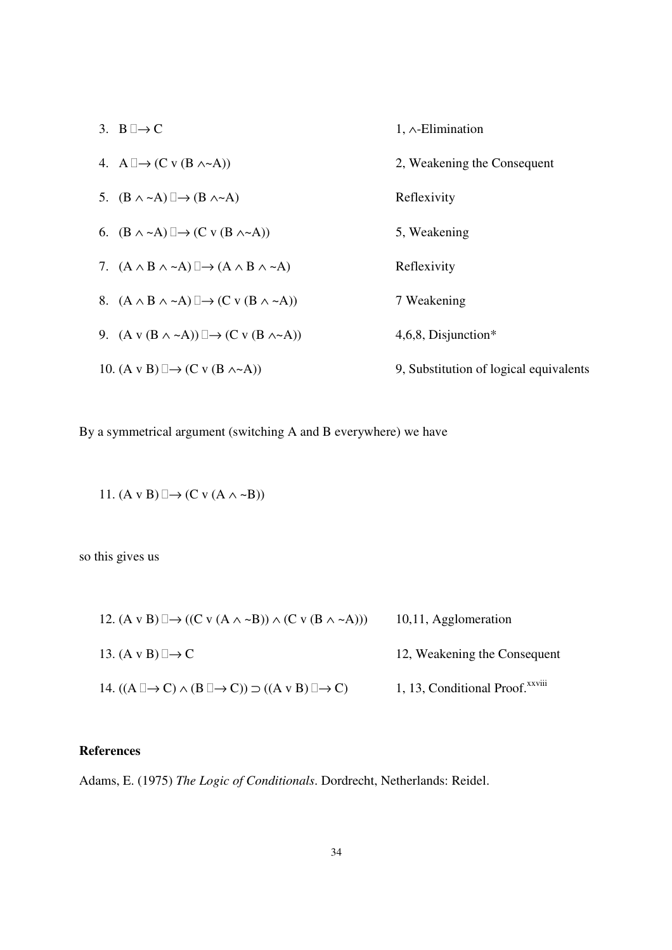| 3. B $\rightarrow$ C                                                   | $1, \wedge$ -Elimination               |
|------------------------------------------------------------------------|----------------------------------------|
| 4. A $\rightarrow$ (C v (B $\land \sim$ A))                            | 2, Weakening the Consequent            |
| 5. $(B \wedge \neg A) \rightarrow (B \wedge \neg A)$                   | Reflexivity                            |
| 6. $(B \wedge \neg A) \rightarrow (C \vee (B \wedge \neg A))$          | 5, Weakening                           |
| 7. $(A \wedge B \wedge \neg A) \rightarrow (A \wedge B \wedge \neg A)$ | Reflexivity                            |
| 8. $(A \wedge B \wedge \neg A) \rightarrow (C \vee (B \wedge \neg A))$ | 7 Weakening                            |
| 9. $(A \vee (B \wedge \neg A)) \rightarrow (C \vee (B \wedge \neg A))$ | $4,6,8$ , Disjunction*                 |
| 10. $(A \vee B) \rightarrow (C \vee (B \wedge A))$                     | 9, Substitution of logical equivalents |

By a symmetrical argument (switching A and B everywhere) we have

11.  $(A \vee B) \rightarrow (C \vee (A \wedge \neg B))$ 

so this gives us

| 12. $(A \vee B) \rightarrow ((C \vee (A \wedge \neg B)) \wedge (C \vee (B \wedge \neg A)))$ | 10,11, Agglomeration                        |
|---------------------------------------------------------------------------------------------|---------------------------------------------|
| 13. $(A \vee B) \rightarrow C$                                                              | 12, Weakening the Consequent                |
| 14. $((A \rightarrow C) \land (B \rightarrow C)) \supset ((A \lor B) \rightarrow C)$        | 1, 13, Conditional Proof. <sup>xxviii</sup> |

# **References**

Adams, E. (1975) *The Logic of Conditionals*. Dordrecht, Netherlands: Reidel.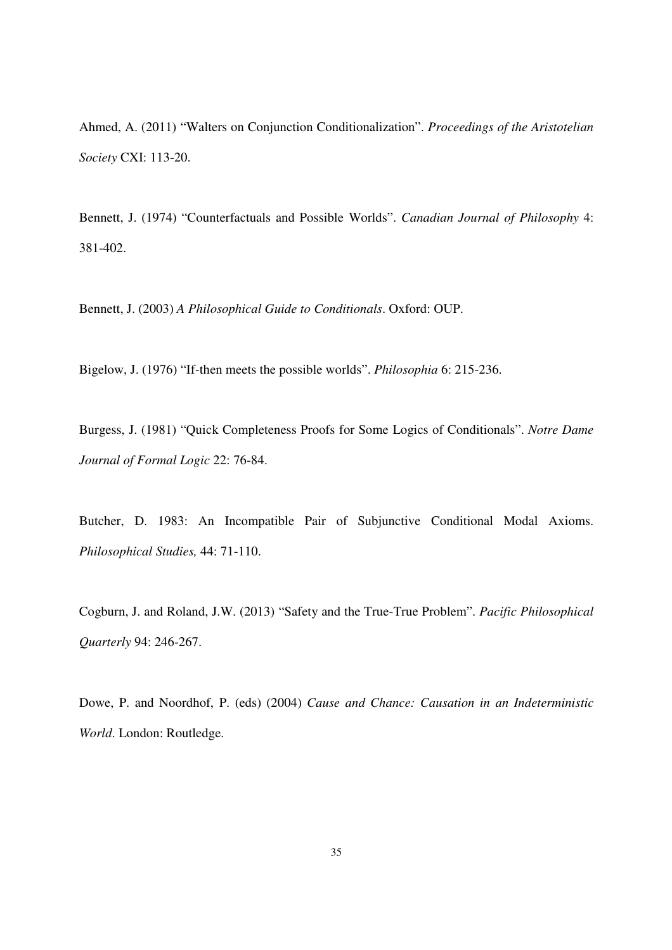Ahmed, A. (2011) "Walters on Conjunction Conditionalization". *Proceedings of the Aristotelian Society* CXI: 113-20.

Bennett, J. (1974) "Counterfactuals and Possible Worlds". *Canadian Journal of Philosophy* 4: 381-402.

Bennett, J. (2003) *A Philosophical Guide to Conditionals*. Oxford: OUP.

Bigelow, J. (1976) "If-then meets the possible worlds". *Philosophia* 6: 215-236.

Burgess, J. (1981) "Quick Completeness Proofs for Some Logics of Conditionals". *Notre Dame Journal of Formal Logic* 22: 76-84.

Butcher, D. 1983: An Incompatible Pair of Subjunctive Conditional Modal Axioms. *Philosophical Studies,* 44: 71-110.

Cogburn, J. and Roland, J.W. (2013) "Safety and the True-True Problem". *Pacific Philosophical Quarterly* 94: 246-267.

Dowe, P. and Noordhof, P. (eds) (2004) *Cause and Chance: Causation in an Indeterministic World*. London: Routledge.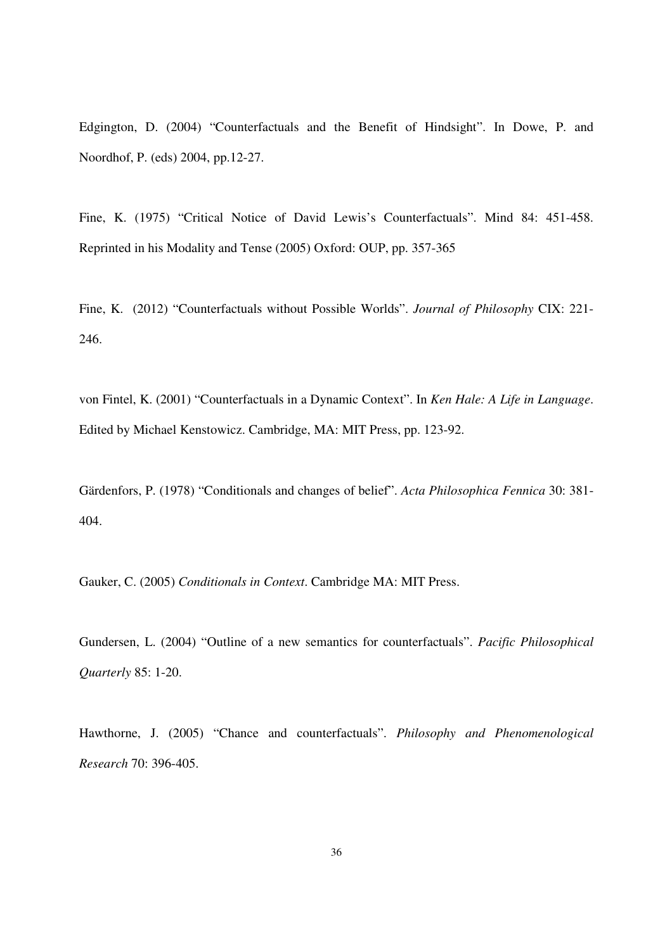Edgington, D. (2004) "Counterfactuals and the Benefit of Hindsight". In Dowe, P. and Noordhof, P. (eds) 2004, pp.12-27.

Fine, K. (1975) "Critical Notice of David Lewis's Counterfactuals". Mind 84: 451-458. Reprinted in his Modality and Tense (2005) Oxford: OUP, pp. 357-365

Fine, K. (2012) "Counterfactuals without Possible Worlds". *Journal of Philosophy* CIX: 221- 246.

von Fintel, K. (2001) "Counterfactuals in a Dynamic Context". In *Ken Hale: A Life in Language*. Edited by Michael Kenstowicz. Cambridge, MA: MIT Press, pp. 123-92.

Gärdenfors, P. (1978) "Conditionals and changes of belief". *Acta Philosophica Fennica* 30: 381- 404.

Gauker, C. (2005) *Conditionals in Context*. Cambridge MA: MIT Press.

Gundersen, L. (2004) "Outline of a new semantics for counterfactuals". *Pacific Philosophical Quarterly* 85: 1-20.

Hawthorne, J. (2005) "Chance and counterfactuals". *Philosophy and Phenomenological Research* 70: 396-405.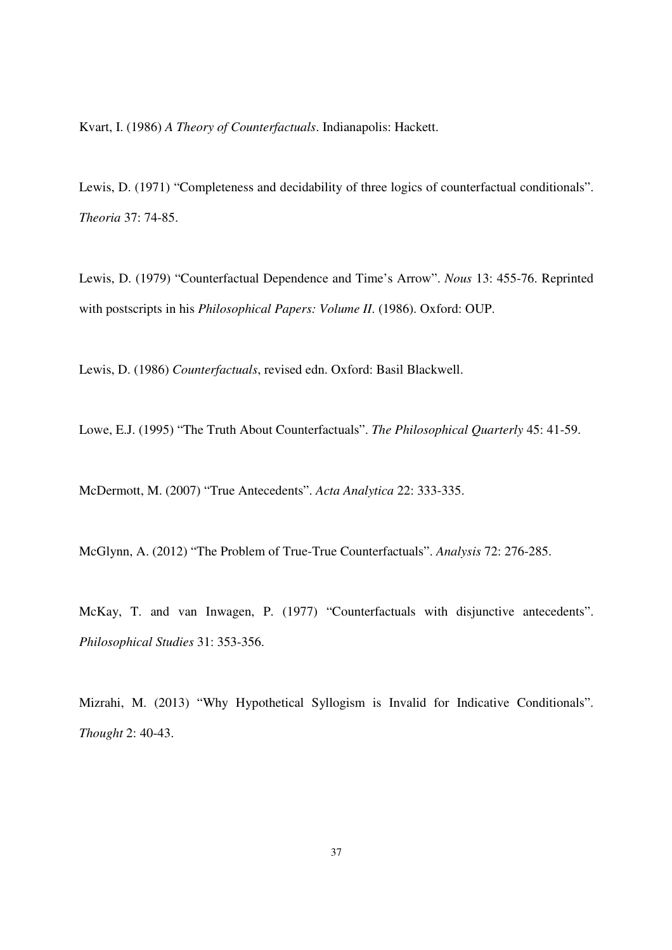Kvart, I. (1986) *A Theory of Counterfactuals*. Indianapolis: Hackett.

Lewis, D. (1971) "Completeness and decidability of three logics of counterfactual conditionals". *Theoria* 37: 74-85.

Lewis, D. (1979) "Counterfactual Dependence and Time's Arrow". *Nous* 13: 455-76. Reprinted with postscripts in his *Philosophical Papers: Volume II*. (1986). Oxford: OUP.

Lewis, D. (1986) *Counterfactuals*, revised edn. Oxford: Basil Blackwell.

Lowe, E.J. (1995) "The Truth About Counterfactuals". *The Philosophical Quarterly* 45: 41-59.

McDermott, M. (2007) "True Antecedents". *Acta Analytica* 22: 333-335.

McGlynn, A. (2012) "The Problem of True-True Counterfactuals". *Analysis* 72: 276-285.

McKay, T. and van Inwagen, P. (1977) "Counterfactuals with disjunctive antecedents". *Philosophical Studies* 31: 353-356.

Mizrahi, M. (2013) "Why Hypothetical Syllogism is Invalid for Indicative Conditionals". *Thought* 2: 40-43.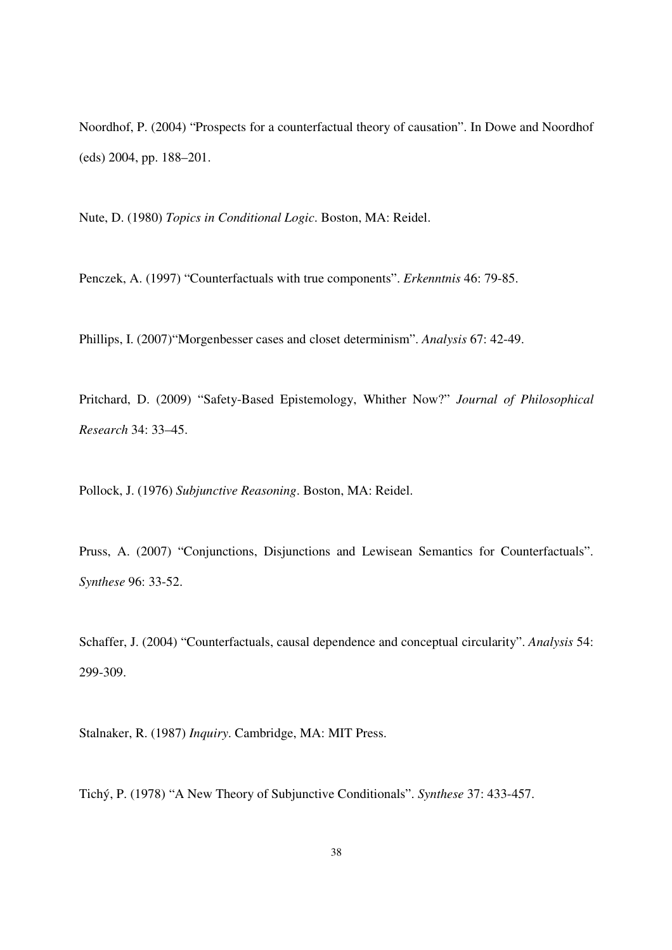Noordhof, P. (2004) "Prospects for a counterfactual theory of causation". In Dowe and Noordhof (eds) 2004, pp. 188–201.

Nute, D. (1980) *Topics in Conditional Logic*. Boston, MA: Reidel.

Penczek, A. (1997) "Counterfactuals with true components". *Erkenntnis* 46: 79-85.

Phillips, I. (2007)"Morgenbesser cases and closet determinism". *Analysis* 67: 42-49.

Pritchard, D. (2009) "Safety-Based Epistemology, Whither Now?" *Journal of Philosophical Research* 34: 33–45.

Pollock, J. (1976) *Subjunctive Reasoning*. Boston, MA: Reidel.

Pruss, A. (2007) "Conjunctions, Disjunctions and Lewisean Semantics for Counterfactuals". *Synthese* 96: 33-52.

Schaffer, J. (2004) "Counterfactuals, causal dependence and conceptual circularity". *Analysis* 54: 299-309.

Stalnaker, R. (1987) *Inquiry*. Cambridge, MA: MIT Press.

Tichý, P. (1978) "A New Theory of Subjunctive Conditionals". *Synthese* 37: 433-457.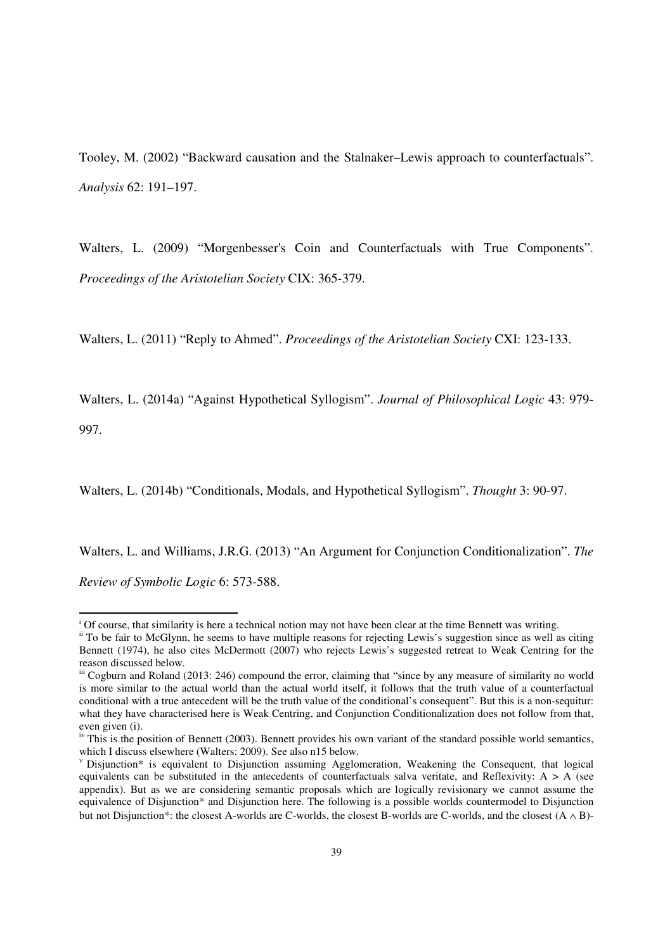Tooley, M. (2002) "Backward causation and the Stalnaker–Lewis approach to counterfactuals". *Analysis* 62: 191–197.

Walters, L. (2009) "Morgenbesser's Coin and Counterfactuals with True Components". *Proceedings of the Aristotelian Society* CIX: 365-379.

Walters, L. (2011) "Reply to Ahmed". *Proceedings of the Aristotelian Society* CXI: 123-133.

Walters, L. (2014a) "Against Hypothetical Syllogism". *Journal of Philosophical Logic* 43: 979- 997.

Walters, L. (2014b) "Conditionals, Modals, and Hypothetical Syllogism". *Thought* 3: 90-97.

Walters, L. and Williams, J.R.G. (2013) "An Argument for Conjunction Conditionalization". *The* 

*Review of Symbolic Logic* 6: 573-588.

-

 $\frac{1}{2}$  Of course, that similarity is here a technical notion may not have been clear at the time Bennett was writing.

<sup>&</sup>lt;sup>ii</sup> To be fair to McGlynn, he seems to have multiple reasons for rejecting Lewis's suggestion since as well as citing Bennett (1974), he also cites McDermott (2007) who rejects Lewis's suggested retreat to Weak Centring for the reason discussed below.

iii Cogburn and Roland (2013: 246) compound the error, claiming that "since by any measure of similarity no world is more similar to the actual world than the actual world itself, it follows that the truth value of a counterfactual conditional with a true antecedent will be the truth value of the conditional's consequent". But this is a non-sequitur: what they have characterised here is Weak Centring, and Conjunction Conditionalization does not follow from that, even given (i).

iv This is the position of Bennett (2003). Bennett provides his own variant of the standard possible world semantics, which I discuss elsewhere (Walters: 2009). See also n15 below.

<sup>&</sup>lt;sup>v</sup> Disjunction\* is equivalent to Disjunction assuming Agglomeration, Weakening the Consequent, that logical equivalents can be substituted in the antecedents of counterfactuals salva veritate, and Reflexivity:  $A > A$  (see appendix). But as we are considering semantic proposals which are logically revisionary we cannot assume the equivalence of Disjunction\* and Disjunction here. The following is a possible worlds countermodel to Disjunction but not Disjunction\*: the closest A-worlds are C-worlds, the closest B-worlds are C-worlds, and the closest  $(A \wedge B)$ -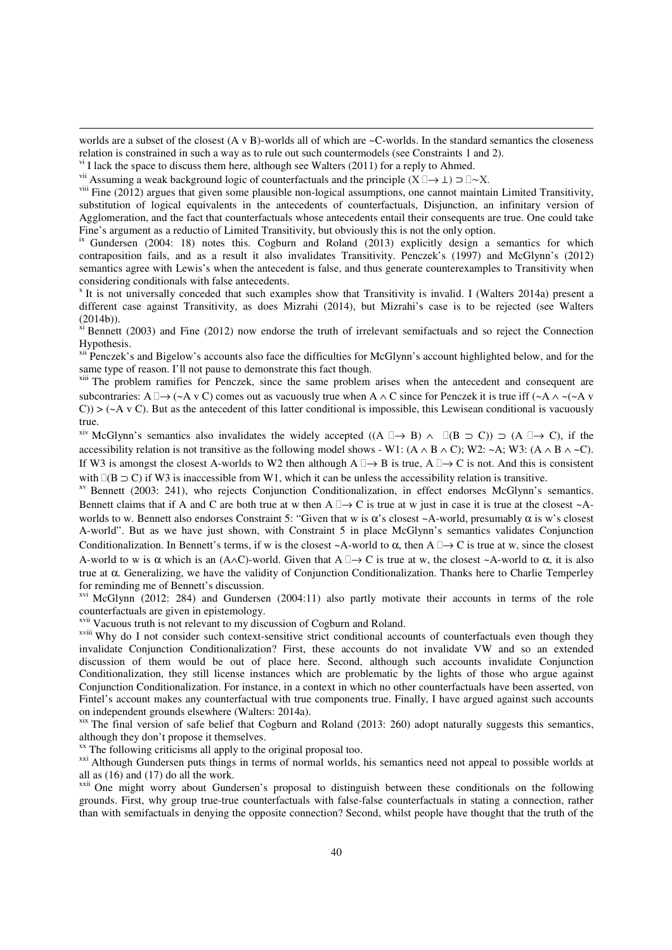worlds are a subset of the closest (A v B)-worlds all of which are ~C-worlds. In the standard semantics the closeness relation is constrained in such a way as to rule out such countermodels (see Constraints 1 and 2).

<u>.</u>

<sup>vii</sup> Assuming a weak background logic of counterfactuals and the principle  $(X \to \perp) \supset \sim X$ .

<sup>viii</sup> Fine (2012) argues that given some plausible non-logical assumptions, one cannot maintain Limited Transitivity,

substitution of logical equivalents in the antecedents of counterfactuals, Disjunction, an infinitary version of Agglomeration, and the fact that counterfactuals whose antecedents entail their consequents are true. One could take Fine's argument as a reductio of Limited Transitivity, but obviously this is not the only option.

<sup>ix</sup> Gundersen (2004: 18) notes this. Cogburn and Roland (2013) explicitly design a semantics for which contraposition fails, and as a result it also invalidates Transitivity. Penczek's (1997) and McGlynn's (2012) semantics agree with Lewis's when the antecedent is false, and thus generate counterexamples to Transitivity when considering conditionals with false antecedents.

<sup>x</sup> It is not universally conceded that such examples show that Transitivity is invalid. I (Walters 2014a) present a different case against Transitivity, as does Mizrahi (2014), but Mizrahi's case is to be rejected (see Walters (2014b)).

 $\frac{x_i}{x_i}$  Bennett (2003) and Fine (2012) now endorse the truth of irrelevant semifactuals and so reject the Connection Hypothesis.

<sup>xii P</sup>enczek's and Bigelow's accounts also face the difficulties for McGlynn's account highlighted below, and for the same type of reason. I'll not pause to demonstrate this fact though.

<sup>xiii</sup> The problem ramifies for Penczek, since the same problem arises when the antecedent and consequent are subcontraries: A  $\rightarrow$  (~A v C) comes out as vacuously true when A  $\land$  C since for Penczek it is true iff (~A  $\land$  ~(~A v  $(C)$ ) > ( $\sim$ A v C). But as the antecedent of this latter conditional is impossible, this Lewisean conditional is vacuously true.

<sup>xiv</sup> McGlynn's semantics also invalidates the widely accepted ((A  $\rightarrow$  B)  $\land$  (B  $\supset$  C))  $\supset$  (A  $\rightarrow$  C), if the accessibility relation is not transitive as the following model shows - W1: (A ∧ B ∧ C); W2: ~A; W3: (A ∧ B ∧ ~C). If W3 is amongst the closest A-worlds to W2 then although  $A \rightarrow B$  is true,  $A \rightarrow C$  is not. And this is consistent with ( $B \supset C$ ) if W3 is inaccessible from W1, which it can be unless the accessibility relation is transitive.

<sup>xv</sup> Bennett (2003: 241), who rejects Conjunction Conditionalization, in effect endorses McGlynn's semantics. Bennett claims that if A and C are both true at w then  $A \rightarrow C$  is true at w just in case it is true at the closest ~Aworlds to w. Bennett also endorses Constraint 5: "Given that w is  $\alpha$ 's closest ~A-world, presumably  $\alpha$  is w's closest A-world". But as we have just shown, with Constraint 5 in place McGlynn's semantics validates Conjunction Conditionalization. In Bennett's terms, if w is the closest  $\sim$ A-world to  $\alpha$ , then A  $\rightarrow$  C is true at w, since the closest A-world to w is  $\alpha$  which is an (A∧C)-world. Given that A  $\rightarrow$  C is true at w, the closest ~A-world to  $\alpha$ , it is also true at α. Generalizing, we have the validity of Conjunction Conditionalization. Thanks here to Charlie Temperley for reminding me of Bennett's discussion.

xvi McGlynn (2012: 284) and Gundersen (2004:11) also partly motivate their accounts in terms of the role counterfactuals are given in epistemology.

xvii Vacuous truth is not relevant to my discussion of Cogburn and Roland.

xviii Why do I not consider such context-sensitive strict conditional accounts of counterfactuals even though they invalidate Conjunction Conditionalization? First, these accounts do not invalidate VW and so an extended discussion of them would be out of place here. Second, although such accounts invalidate Conjunction Conditionalization, they still license instances which are problematic by the lights of those who argue against Conjunction Conditionalization. For instance, in a context in which no other counterfactuals have been asserted, von Fintel's account makes any counterfactual with true components true. Finally, I have argued against such accounts on independent grounds elsewhere (Walters: 2014a).

xix The final version of safe belief that Cogburn and Roland (2013: 260) adopt naturally suggests this semantics, although they don't propose it themselves.

<sup>xx</sup> The following criticisms all apply to the original proposal too.

<sup>xxi</sup> Although Gundersen puts things in terms of normal worlds, his semantics need not appeal to possible worlds at all as (16) and (17) do all the work.

<sup>xxii</sup> One might worry about Gundersen's proposal to distinguish between these conditionals on the following grounds. First, why group true-true counterfactuals with false-false counterfactuals in stating a connection, rather than with semifactuals in denying the opposite connection? Second, whilst people have thought that the truth of the

<sup>&</sup>lt;sup>vi</sup> I lack the space to discuss them here, although see Walters (2011) for a reply to Ahmed.